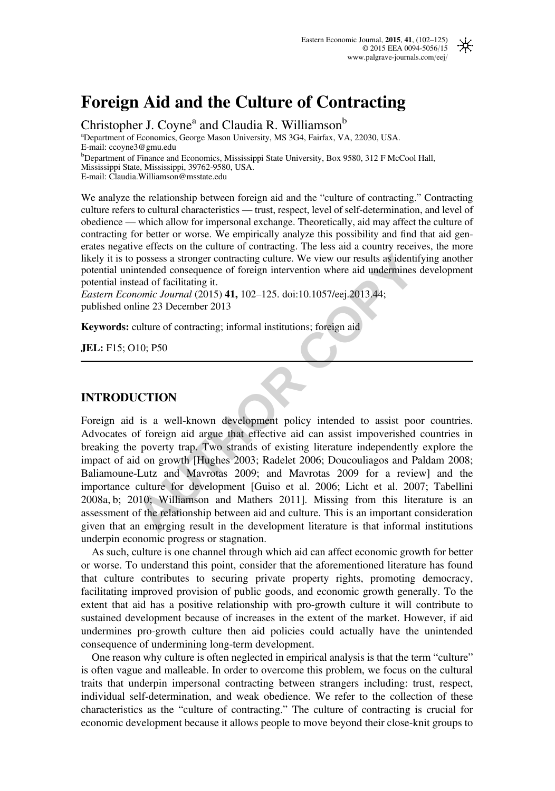# Foreign Aid and the Culture of Contracting

Christopher J. Coyne<sup>a</sup> and Claudia R. Williamson<sup>b</sup>

a Department of Economics, George Mason University, MS 3G4, Fairfax, VA, 22030, USA. E-mail: ccoyne3@gmu.edu

<sup>b</sup>Department of Finance and Economics, Mississippi State University, Box 9580, 312 F McCool Hall,

Mississippi State, Mississippi, 39762-9580, USA.

E-mail: Claudia.Williamson@msstate.edu

We analyze the relationship between foreign aid and the "culture of contracting." Contracting culture refers to cultural characteristics — trust, respect, level of self-determination, and level of obedience — which allow for impersonal exchange. Theoretically, aid may affect the culture of contracting for better or worse. We empirically analyze this possibility and find that aid generates negative effects on the culture of contracting. The less aid a country receives, the more likely it is to possess a stronger contracting culture. We view our results as identifying another potential unintended consequence of foreign intervention where aid undermines development potential instead of facilitating it.

Eastern Economic Journal (2015) 41, 102–125. doi:10.1057/eej.2013.44; published online 23 December 2013

Keywords: culture of contracting; informal institutions; foreign aid

JEL: F15; O10; P50

### INTRODUCTION

prossess a stronger contracting culture. We view our results as identifyintended consequence of foreign intervention where aid undermines de<br>
Analog of facilitating it.<br> **[AU](#page-19-0)**<br> **AU**<br> **AU**<br> **AU**<br> **AU**<br> **AU**<br> **C**<br> **C**<br> **C**<br> Foreign aid is a well-known development policy intended to assist poor countries. Advocates of foreign aid argue that effective aid can assist impoverished countries in breaking the poverty trap. Two strands of existing literature independently explore the impact of aid on growth [Hughes 2003; Radelet 2006; [Doucouliagos and Paldam 2008;](#page-17-0) [Baliamoune-Lutz and Mavrotas 2009](#page-17-0); and Mavrotas 2009 for a review] and the importance culture for development [Guiso et al. 2006; [Licht et al. 2007](#page-18-0); [Tabellini](#page-19-0) [2008a, b; 2010;](#page-19-0) Williamson and Mathers 2011]. Missing from this literature is an assessment of the relationship between aid and culture. This is an important consideration given that an emerging result in the development literature is that informal institutions underpin economic progress or stagnation.

As such, culture is one channel through which aid can affect economic growth for better or worse. To understand this point, consider that the aforementioned literature has found that culture contributes to securing private property rights, promoting democracy, facilitating improved provision of public goods, and economic growth generally. To the extent that aid has a positive relationship with pro-growth culture it will contribute to sustained development because of increases in the extent of the market. However, if aid undermines pro-growth culture then aid policies could actually have the unintended consequence of undermining long-term development.

One reason why culture is often neglected in empirical analysis is that the term "culture" is often vague and malleable. In order to overcome this problem, we focus on the cultural traits that underpin impersonal contracting between strangers including: trust, respect, individual self-determination, and weak obedience. We refer to the collection of these characteristics as the "culture of contracting." The culture of contracting is crucial for economic development because it allows people to move beyond their close-knit groups to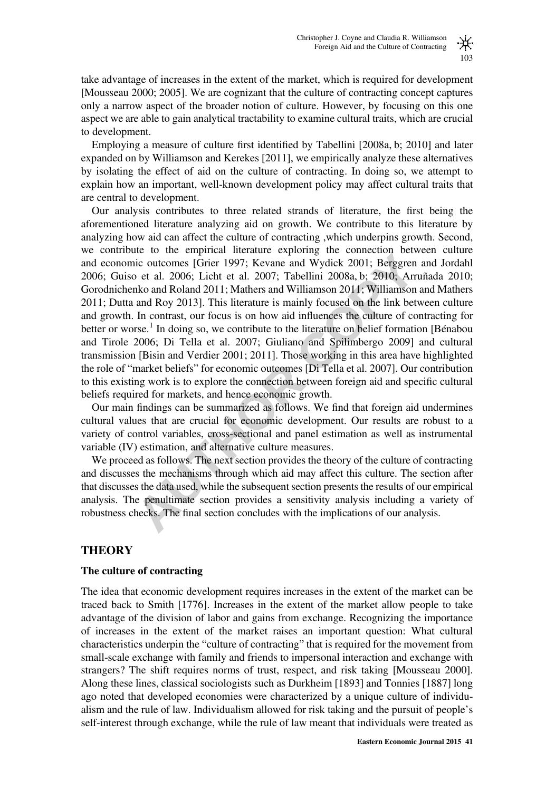

take advantage of increases in the extent of the market, which is required for development [[Mousseau 2000; 2005\]](#page-18-0). We are cognizant that the culture of contracting concept captures only a narrow aspect of the broader notion of culture. However, by focusing on this one aspect we are able to gain analytical tractability to examine cultural traits, which are crucial to development.

Employing a measure of culture first identified by [Tabellini \[2008a, b; 2010\]](#page-19-0) and later expanded on by [Williamson and Kerekes \[2011\]](#page-19-0), we empirically analyze these alternatives by isolating the effect of aid on the culture of contracting. In doing so, we attempt to explain how an important, well-known development policy may affect cultural traits that are central to development.

at combinant and and exploring the contention of twisted to the content of the content of the contents (Grief 1997; Kevana and Wydick 2001; Berggren and Roy 2013]. This literature is mainly focused on the link between and Our analysis contributes to three related strands of literature, the first being the aforementioned literature analyzing aid on growth. We contribute to this literature by analyzing how aid can affect the culture of contracting ,which underpins growth. Second, we contribute to the empirical literature exploring the connection between culture and economic outcomes [Grier 1997; Kevane and Wydick 2001; [Berggren and Jordahl](#page-17-0) [2006; Guiso et al. 2006;](#page-17-0) Licht et al. 2007; Tabellini 2008a, b; 2010; [Arruñada 2010;](#page-17-0) [Gorodnichenko and Roland 2011;](#page-17-0) Mathers and Williamson 2011; [Williamson and Mathers](#page-17-0) [2011; Dutta and Roy 2013\]](#page-17-0). This literature is mainly focused on the link between culture and growth. In contrast, our focus is on how aid influences the culture of contracting for better or worse.<sup>1</sup> In doing so, we contribute to the literature on belief formation [\[Bénabou](#page-17-0)] [and Tirole 2006](#page-17-0); Di Tella et al. 2007; Giuliano and Spilimbergo 2009] and cultural transmission [Bisin and Verdier 2001; 2011]. Those working in this area have highlighted the role of "market beliefs" for economic outcomes [Di Tella et al. 2007]. Our contribution to this existing work is to explore the connection between foreign aid and specific cultural beliefs required for markets, and hence economic growth.

Our main findings can be summarized as follows. We find that foreign aid undermines cultural values that are crucial for economic development. Our results are robust to a variety of control variables, cross-sectional and panel estimation as well as instrumental variable (IV) estimation, and alternative culture measures.

We proceed as follows. The next section provides the theory of the culture of contracting and discusses the mechanisms through which aid may affect this culture. The section after that discusses the data used, while the subsequent section presents the results of our empirical analysis. The penultimate section provides a sensitivity analysis including a variety of robustness checks. The final section concludes with the implications of our analysis.

### **THEORY**

### The culture of contracting

The idea that economic development requires increases in the extent of the market can be traced back to Smith [1776]. Increases in the extent of the market allow people to take advantage of the division of labor and gains from exchange. Recognizing the importance of increases in the extent of the market raises an important question: What cultural characteristics underpin the "culture of contracting" that is required for the movement from small-scale exchange with family and friends to impersonal interaction and exchange with strangers? The shift requires norms of trust, respect, and risk taking [[Mousseau 2000\]](#page-18-0). Along these lines, classical sociologists such as [Durkheim \[1893\]](#page-17-0) and [Tonnies \[1887\]](#page-19-0) long ago noted that developed economies were characterized by a unique culture of individualism and the rule of law. Individualism allowed for risk taking and the pursuit of people's self-interest through exchange, while the rule of law meant that individuals were treated as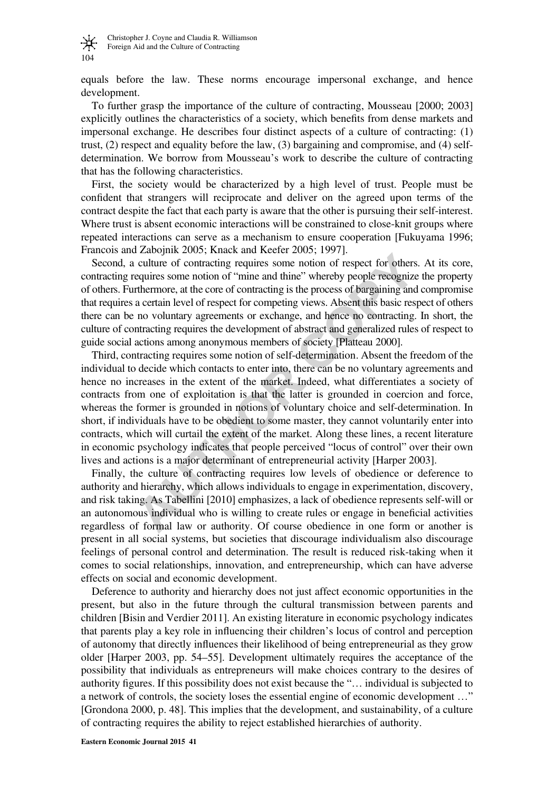

equals before the law. These norms encourage impersonal exchange, and hence development.

To further grasp the importance of the culture of contracting, [Mousseau \[2000; 2003\]](#page-18-0) explicitly outlines the characteristics of a society, which benefits from dense markets and impersonal exchange. He describes four distinct aspects of a culture of contracting: (1) trust, (2) respect and equality before the law, (3) bargaining and compromise, and (4) selfdetermination. We borrow from Mousseau's work to describe the culture of contracting that has the following characteristics.

First, the society would be characterized by a high level of trust. People must be confident that strangers will reciprocate and deliver on the agreed upon terms of the contract despite the fact that each party is aware that the other is pursuing their self-interest. Where trust is absent economic interactions will be constrained to close-knit groups where repeated interactions can serve as a mechanism to ensure cooperation [\[Fukuyama 1996;](#page-17-0) [Francois and Zabojnik 2005;](#page-17-0) [Knack and Keefer 2005;](#page-18-0) 1997].

Second, a culture of contracting requires some notion of respect for others. At its core, contracting requires some notion of "mine and thine" whereby people recognize the property of others. Furthermore, at the core of contracting is the process of bargaining and compromise that requires a certain level of respect for competing views. Absent this basic respect of others there can be no voluntary agreements or exchange, and hence no contracting. In short, the culture of contracting requires the development of abstract and generalized rules of respect to guide social actions among anonymous members of society [Platteau 2000].

**AL[CO](#page-18-0)TIVE 2003** Calculate and ACC-LE 2003 (1997).<br> **ALCOTIME 2003** contracting requires some notion of respect for others. *A*<br>
requires some notion of "mine and thine" whereby people recognize the<br>
retrain level of respec Third, contracting requires some notion of self-determination. Absent the freedom of the individual to decide which contacts to enter into, there can be no voluntary agreements and hence no increases in the extent of the market. Indeed, what differentiates a society of contracts from one of exploitation is that the latter is grounded in coercion and force, whereas the former is grounded in notions of voluntary choice and self-determination. In short, if individuals have to be obedient to some master, they cannot voluntarily enter into contracts, which will curtail the extent of the market. Along these lines, a recent literature in economic psychology indicates that people perceived "locus of control" over their own lives and actions is a major determinant of entrepreneurial activity [\[Harper 2003\]](#page-17-0).

Finally, the culture of contracting requires low levels of obedience or deference to authority and hierarchy, which allows individuals to engage in experimentation, discovery, and risk taking. As Tabellini [2010] emphasizes, a lack of obedience represents self-will or an autonomous individual who is willing to create rules or engage in beneficial activities regardless of formal law or authority. Of course obedience in one form or another is present in all social systems, but societies that discourage individualism also discourage feelings of personal control and determination. The result is reduced risk-taking when it comes to social relationships, innovation, and entrepreneurship, which can have adverse effects on social and economic development.

Deference to authority and hierarchy does not just affect economic opportunities in the present, but also in the future through the cultural transmission between parents and children [[Bisin and Verdier 2011](#page-17-0)]. An existing literature in economic psychology indicates that parents play a key role in influencing their children's locus of control and perception of autonomy that directly influences their likelihood of being entrepreneurial as they grow older [[Harper 2003,](#page-17-0) pp. 54–55]. Development ultimately requires the acceptance of the possibility that individuals as entrepreneurs will make choices contrary to the desires of authority figures. If this possibility does not exist because the "… individual is subjected to a network of controls, the society loses the essential engine of economic development …" [[Grondona 2000, p. 48\]](#page-17-0). This implies that the development, and sustainability, of a culture of contracting requires the ability to reject established hierarchies of authority.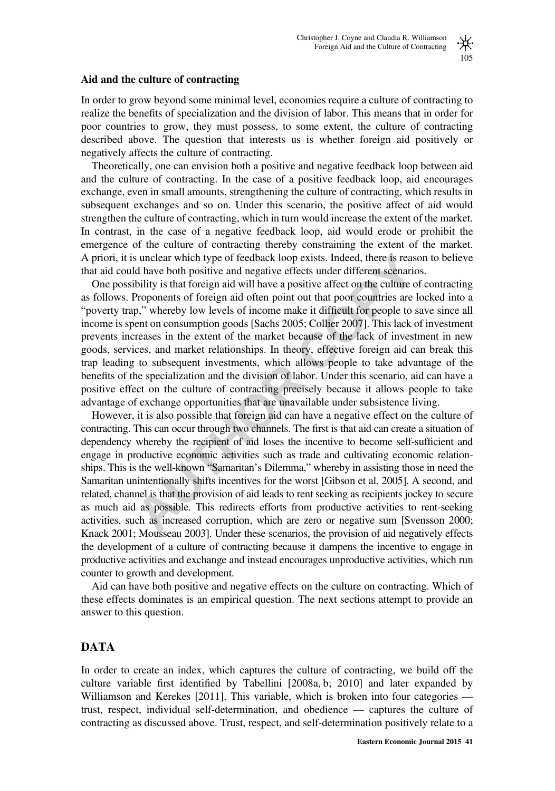### ⋇ 105

### Aid and the culture of contracting

In order to grow beyond some minimal level, economies require a culture of contracting to realize the benefits of specialization and the division of labor. This means that in order for poor countries to grow, they must possess, to some extent, the culture of contracting described above. The question that interests us is whether foreign aid positively or negatively affects the culture of contracting.

Theoretically, one can envision both a positive and negative feedback loop between aid and the culture of contracting. In the case of a positive feedback loop, aid encourages exchange, even in small amounts, strengthening the culture of contracting, which results in subsequent exchanges and so on. Under this scenario, the positive affect of aid would strengthen the culture of contracting, which in turn would increase the extent of the market. In contrast, in the case of a negative feedback loop, aid would erode or prohibit the emergence of the culture of contracting thereby constraining the extent of the market. A priori, it is unclear which type of feedback loop exists. Indeed, there is reason to believe that aid could have both positive and negative effects under different scenarios.

Is unclear which type of feedback loop exists. Indeed, there is reason d have both positive and negative effects under different scenarios.<br>
bility is that foreign aid will have a positive affect on the culture of c<br> **Prop** One possibility is that foreign aid will have a positive affect on the culture of contracting as follows. Proponents of foreign aid often point out that poor countries are locked into a "poverty trap," whereby low levels of income make it difficult for people to save since all income is spent on consumption goods [Sachs 2005; Collier 2007]. This lack of investment prevents increases in the extent of the market because of the lack of investment in new goods, services, and market relationships. In theory, effective foreign aid can break this trap leading to subsequent investments, which allows people to take advantage of the benefits of the specialization and the division of labor. Under this scenario, aid can have a positive effect on the culture of contracting precisely because it allows people to take advantage of exchange opportunities that are unavailable under subsistence living.

However, it is also possible that foreign aid can have a negative effect on the culture of contracting. This can occur through two channels. The first is that aid can create a situation of dependency whereby the recipient of aid loses the incentive to become self-sufficient and engage in productive economic activities such as trade and cultivating economic relationships. This is the well-known "Samaritan's Dilemma," whereby in assisting those in need the Samaritan unintentionally shifts incentives for the worst [Gibson et al. 2005]. A second, and related, channel is that the provision of aid leads to rent seeking as recipients jockey to secure as much aid as possible. This redirects efforts from productive activities to rent-seeking activities, such as increased corruption, which are zero or negative sum [\[Svensson 2000;](#page-19-0) [Knack 2001; Mousseau 2003](#page-18-0)]. Under these scenarios, the provision of aid negatively effects the development of a culture of contracting because it dampens the incentive to engage in productive activities and exchange and instead encourages unproductive activities, which run counter to growth and development.

Aid can have both positive and negative effects on the culture on contracting. Which of these effects dominates is an empirical question. The next sections attempt to provide an answer to this question.

### DATA

In order to create an index, which captures the culture of contracting, we build off the culture variable first identified by [Tabellini \[2008a, b; 2010\]](#page-19-0) and later expanded by [Williamson and Kerekes \[2011\].](#page-19-0) This variable, which is broken into four categories trust, respect, individual self-determination, and obedience — captures the culture of contracting as discussed above. Trust, respect, and self-determination positively relate to a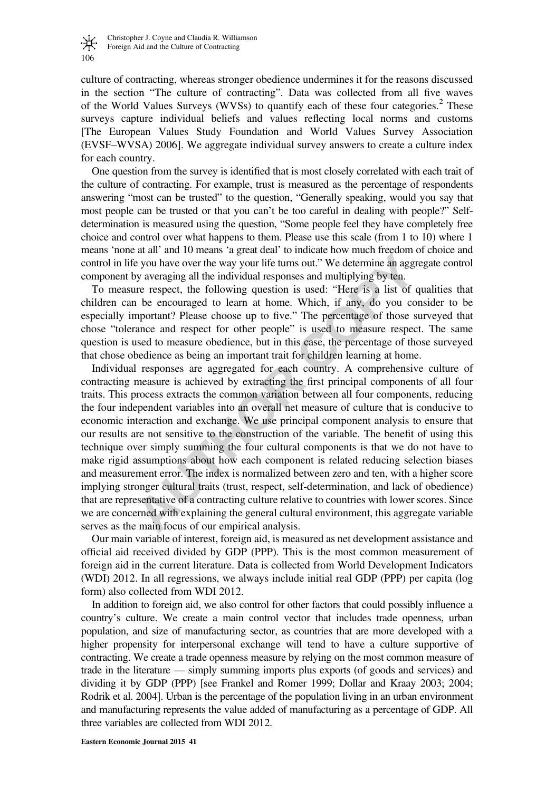

culture of contracting, whereas stronger obedience undermines it for the reasons discussed in the section "The culture of contracting". Data was collected from all five waves of the World Values Surveys (WVSs) to quantify each of these four categories.<sup>2</sup> These surveys capture individual beliefs and values reflecting local norms and customs [[The European Values Study Foundation and World Values Survey Association](#page-19-0) (EVSF–[WVSA\) 2006](#page-19-0)]. We aggregate individual survey answers to create a culture index for each country.

One question from the survey is identified that is most closely correlated with each trait of the culture of contracting. For example, trust is measured as the percentage of respondents answering "most can be trusted" to the question, "Generally speaking, would you say that most people can be trusted or that you can't be too careful in dealing with people?" Selfdetermination is measured using the question, "Some people feel they have completely free choice and control over what happens to them. Please use this scale (from 1 to 10) where 1 means 'none at all' and 10 means 'a great deal' to indicate how much freedom of choice and control in life you have over the way your life turns out." We determine an aggregate control component by averaging all the individual responses and multiplying by ten.

To measure respect, the following question is used: "Here is a list of qualities that children can be encouraged to learn at home. Which, if any, do you consider to be especially important? Please choose up to five." The percentage of those surveyed that chose "tolerance and respect for other people" is used to measure respect. The same question is used to measure obedience, but in this case, the percentage of those surveyed that chose obedience as being an important trait for children learning at home.

a a an any otomains a great deat to intended fow match colon of the eight of the sequent and be equal above the way your life turns out." We determine an aggreg by averaging all the individual responses and multiplying by Individual responses are aggregated for each country. A comprehensive culture of contracting measure is achieved by extracting the first principal components of all four traits. This process extracts the common variation between all four components, reducing the four independent variables into an overall net measure of culture that is conducive to economic interaction and exchange. We use principal component analysis to ensure that our results are not sensitive to the construction of the variable. The benefit of using this technique over simply summing the four cultural components is that we do not have to make rigid assumptions about how each component is related reducing selection biases and measurement error. The index is normalized between zero and ten, with a higher score implying stronger cultural traits (trust, respect, self-determination, and lack of obedience) that are representative of a contracting culture relative to countries with lower scores. Since we are concerned with explaining the general cultural environment, this aggregate variable serves as the main focus of our empirical analysis.

Our main variable of interest, foreign aid, is measured as net development assistance and official aid received divided by GDP (PPP). This is the most common measurement of foreign aid in the current literature. Data is collected from [World Development Indicators](#page-19-0) [\(WDI\) 2012.](#page-19-0) In all regressions, we always include initial real GDP (PPP) per capita (log form) also collected from WDI 2012.

In addition to foreign aid, we also control for other factors that could possibly influence a country's culture. We create a main control vector that includes trade openness, urban population, and size of manufacturing sector, as countries that are more developed with a higher propensity for interpersonal exchange will tend to have a culture supportive of contracting. We create a trade openness measure by relying on the most common measure of trade in the literature — simply summing imports plus exports (of goods and services) and dividing it by GDP (PPP) [see [Frankel and Romer 1999](#page-17-0); [Dollar and Kraay 2003; 2004;](#page-17-0) [Rodrik et al. 2004\]](#page-18-0). Urban is the percentage of the population living in an urban environment and manufacturing represents the value added of manufacturing as a percentage of GDP. All three variables are collected from WDI 2012.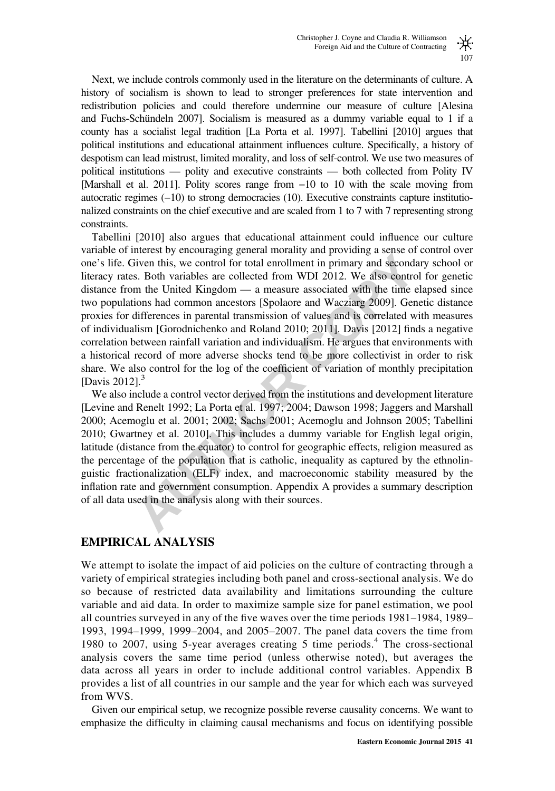⋇ 107

Next, we include controls commonly used in the literature on the determinants of culture. A history of socialism is shown to lead to stronger preferences for state intervention and redistribution policies and could therefore undermine our measure of culture [Alesina and Fuchs-Schündeln 2007]. Socialism is measured as a dummy variable equal to 1 if a county has a socialist legal tradition [[La Porta et al. 1997](#page-18-0)]. [Tabellini \[2010\]](#page-19-0) argues that political institutions and educational attainment influences culture. Specifically, a history of despotism can lead mistrust, limited morality, and loss of self-control. We use two measures of political institutions — polity and executive constraints — both collected from Polity IV [[Marshall et al. 2011\]](#page-18-0). Polity scores range from −10 to 10 with the scale moving from autocratic regimes (−10) to strong democracies (10). Executive constraints capture institutionalized constraints on the chief executive and are scaled from 1 to 7 with 7 representing strong constraints.

metast by encoding general information information and provining a schese of exceeding<br>
Siven this, we control for total enrollment in primary and secondary<br>
S. Both variables are collected from WDI 2012. We also control o [Tabellini \[2010\]](#page-19-0) also argues that educational attainment could influence our culture variable of interest by encouraging general morality and providing a sense of control over one's life. Given this, we control for total enrollment in primary and secondary school or literacy rates. Both variables are collected from WDI 2012. We also control for genetic distance from the United Kingdom — a measure associated with the time elapsed since two populations had common ancestors [Spolaore and Wacziarg 2009]. Genetic distance proxies for differences in parental transmission of values and is correlated with measures of individualism [Gorodnichenko and Roland 2010; 2011]. Davis [2012] finds a negative correlation between rainfall variation and individualism. He argues that environments with a historical record of more adverse shocks tend to be more collectivist in order to risk share. We also control for the log of the coefficient of variation of monthly precipitation [[Davis 2012\]](#page-17-0).<sup>3</sup>

We also include a control vector derived from the institutions and development literature [[Levine and Renelt 1992](#page-18-0); La Porta et al. 1997; 2004; Dawson 1998; [Jaggers and Marshall](#page-18-0) [2000;](#page-18-0) [Acemoglu et al. 2001; 2002;](#page-16-0) Sachs 2001; [Acemoglu and Johnson 2005;](#page-16-0) [Tabellini](#page-19-0) [2010;](#page-19-0) [Gwartney et al. 2010\]](#page-17-0). This includes a dummy variable for English legal origin, latitude (distance from the equator) to control for geographic effects, religion measured as the percentage of the population that is catholic, inequality as captured by the ethnolinguistic fractionalization (ELF) index, and macroeconomic stability measured by the inflation rate and government consumption. Appendix A provides a summary description of all data used in the analysis along with their sources.

### EMPIRICAL ANALYSIS

We attempt to isolate the impact of aid policies on the culture of contracting through a variety of empirical strategies including both panel and cross-sectional analysis. We do so because of restricted data availability and limitations surrounding the culture variable and aid data. In order to maximize sample size for panel estimation, we pool all countries surveyed in any of the five waves over the time periods 1981–1984, 1989– 1993, 1994–1999, 1999–2004, and 2005–2007. The panel data covers the time from 1980 to 2007, using 5-year averages creating 5 time periods.<sup>4</sup> The cross-sectional analysis covers the same time period (unless otherwise noted), but averages the data across all years in order to include additional control variables. Appendix B provides a list of all countries in our sample and the year for which each was surveyed from WVS.

Given our empirical setup, we recognize possible reverse causality concerns. We want to emphasize the difficulty in claiming causal mechanisms and focus on identifying possible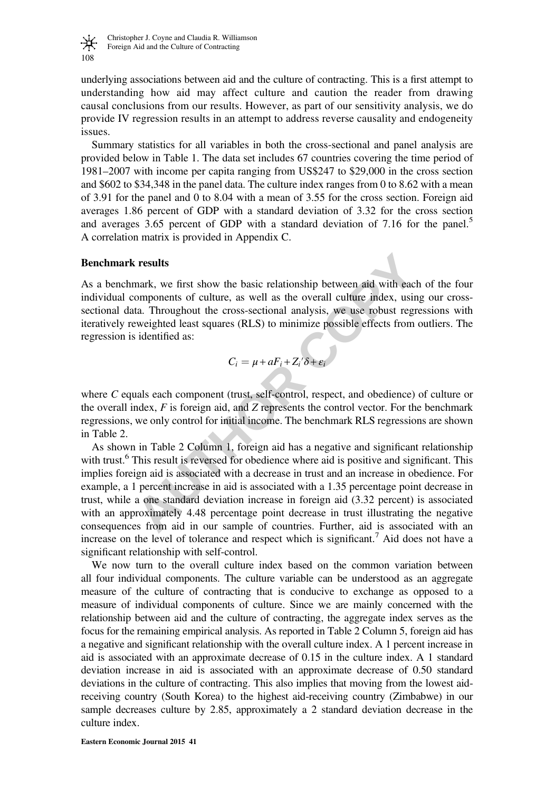

underlying associations between aid and the culture of contracting. This is a first attempt to understanding how aid may affect culture and caution the reader from drawing causal conclusions from our results. However, as part of our sensitivity analysis, we do provide IV regression results in an attempt to address reverse causality and endogeneity issues.

Summary statistics for all variables in both the cross-sectional and panel analysis are provided below in [Table 1](#page-7-0). The data set includes 67 countries covering the time period of 1981–2007 with income per capita ranging from US\$247 to \$29,000 in the cross section and \$602 to \$34,348 in the panel data. The culture index ranges from 0 to 8.62 with a mean of 3.91 for the panel and 0 to 8.04 with a mean of 3.55 for the cross section. Foreign aid averages 1.86 percent of GDP with a standard deviation of 3.32 for the cross section and averages 3.65 percent of GDP with a standard deviation of 7.16 for the panel.<sup>5</sup> A correlation matrix is provided in Appendix C.

### Benchmark results

As a benchmark, we first show the basic relationship between aid with each of the four individual components of culture, as well as the overall culture index, using our crosssectional data. Throughout the cross-sectional analysis, we use robust regressions with iteratively reweighted least squares (RLS) to minimize possible effects from outliers. The regression is identified as:

$$
C_i = \mu + aF_i + Z_i'\delta + \varepsilon_i
$$

where C equals each component (trust, self-control, respect, and obedience) of culture or the overall index,  $F$  is foreign aid, and  $Z$  represents the control vector. For the benchmark regressions, we only control for initial income. The benchmark RLS regressions are shown in [Table 2](#page-8-0).

**Example 15**<br> **AUP** [T](#page-8-0)he state show the basic relationship between aid with each components of culture, as well as the overall culture index, using that. Throughout the cross-sectional analysis, we use robust regressive ei As shown in Table 2 Column 1, foreign aid has a negative and significant relationship with trust.<sup>6</sup> This result is reversed for obedience where aid is positive and significant. This implies foreign aid is associated with a decrease in trust and an increase in obedience. For example, a 1 percent increase in aid is associated with a 1.35 percentage point decrease in trust, while a one standard deviation increase in foreign aid (3.32 percent) is associated with an approximately 4.48 percentage point decrease in trust illustrating the negative consequences from aid in our sample of countries. Further, aid is associated with an increase on the level of tolerance and respect which is significant.<sup>7</sup> Aid does not have a significant relationship with self-control.

We now turn to the overall culture index based on the common variation between all four individual components. The culture variable can be understood as an aggregate measure of the culture of contracting that is conducive to exchange as opposed to a measure of individual components of culture. Since we are mainly concerned with the relationship between aid and the culture of contracting, the aggregate index serves as the focus for the remaining empirical analysis. As reported in [Table 2](#page-8-0) Column 5, foreign aid has a negative and significant relationship with the overall culture index. A 1 percent increase in aid is associated with an approximate decrease of 0.15 in the culture index. A 1 standard deviation increase in aid is associated with an approximate decrease of 0.50 standard deviations in the culture of contracting. This also implies that moving from the lowest aidreceiving country (South Korea) to the highest aid-receiving country (Zimbabwe) in our sample decreases culture by 2.85, approximately a 2 standard deviation decrease in the culture index.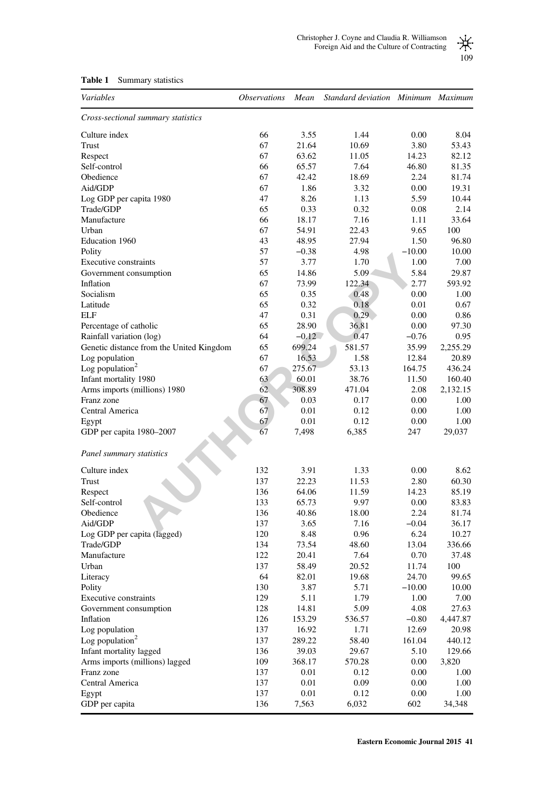### <span id="page-7-0"></span>Table 1 Summary statistics

| Variables                                | <i><b>Observations</b></i> | Mean    | Standard deviation Minimum Maximum |          |          |
|------------------------------------------|----------------------------|---------|------------------------------------|----------|----------|
| Cross-sectional summary statistics       |                            |         |                                    |          |          |
| Culture index                            | 66                         | 3.55    | 1.44                               | 0.00     | 8.04     |
| Trust                                    | 67                         | 21.64   | 10.69                              | 3.80     | 53.43    |
| Respect                                  | 67                         | 63.62   | 11.05                              | 14.23    | 82.12    |
| Self-control                             | 66                         | 65.57   | 7.64                               | 46.80    | 81.35    |
| Obedience                                | 67                         | 42.42   | 18.69                              | 2.24     | 81.74    |
| Aid/GDP                                  | 67                         | 1.86    | 3.32                               | 0.00     | 19.31    |
| Log GDP per capita 1980                  | 47                         | 8.26    | 1.13                               | 5.59     | 10.44    |
| Trade/GDP                                | 65                         | 0.33    | 0.32                               | 0.08     | 2.14     |
| Manufacture                              | 66                         | 18.17   | 7.16                               | 1.11     | 33.64    |
| Urban                                    | 67                         | 54.91   | 22.43                              | 9.65     | 100      |
| Education 1960                           | 43                         | 48.95   | 27.94                              | 1.50     | 96.80    |
| Polity                                   | 57                         | $-0.38$ | 4.98                               | $-10.00$ | 10.00    |
| <b>Executive constraints</b>             | 57                         | 3.77    | 1.70                               | 1.00     | 7.00     |
| Government consumption                   | 65                         | 14.86   | 5.09                               | 5.84     | 29.87    |
| Inflation                                | 67                         | 73.99   | 122.34                             | 2.77     | 593.92   |
| Socialism                                | 65                         | 0.35    | 0.48                               | 0.00     | 1.00     |
| Latitude                                 | 65                         | 0.32    | 0.18                               | 0.01     | 0.67     |
| ELF                                      | 47                         | 0.31    | 0.29                               | 0.00     | 0.86     |
| Percentage of catholic                   | 65                         | 28.90   | 36.81                              | 0.00     | 97.30    |
| Rainfall variation (log)                 | 64                         | $-0.12$ | 0.47                               | $-0.76$  | 0.95     |
| Genetic distance from the United Kingdom | 65                         | 699.24  | 581.57                             | 35.99    | 2,255.29 |
| Log population                           | 67                         | 16.53   | 1.58                               | 12.84    | 20.89    |
| Log population $2$                       | 67                         | 275.67  | 53.13                              | 164.75   | 436.24   |
| Infant mortality 1980                    | 63                         | 60.01   | 38.76                              | 11.50    | 160.40   |
| Arms imports (millions) 1980             | 62                         | 308.89  | 471.04                             | 2.08     | 2,132.15 |
| Franz zone                               | 67                         | 0.03    | 0.17                               | 0.00     | 1.00     |
| Central America                          | 67                         | 0.01    | 0.12                               | 0.00     | 1.00     |
| Egypt                                    | 67                         | 0.01    | 0.12                               | 0.00     | 1.00     |
| GDP per capita 1980-2007                 | 67                         | 7,498   | 6,385                              | 247      | 29,037   |
| Panel summary statistics                 |                            |         |                                    |          |          |
| Culture index                            | 132                        | 3.91    | 1.33                               | 0.00     | 8.62     |
| Trust                                    | 137                        | 22.23   | 11.53                              | 2.80     | 60.30    |
| Respect                                  | 136                        | 64.06   | 11.59                              | 14.23    | 85.19    |
| Self-control                             | 133                        | 65.73   | 9.97                               | 0.00     | 83.83    |
| Obedience                                | 136                        | 40.86   | 18.00                              | 2.24     | 81.74    |
| Aid/GDP                                  | 137                        | 3.65    | 7.16                               | $-0.04$  | 36.17    |
| Log GDP per capita (lagged)              | 120                        | 8.48    | 0.96                               | 6.24     | 10.27    |
| Trade/GDP                                | 134                        | 73.54   | 48.60                              | 13.04    | 336.66   |
| Manufacture                              | 122                        | 20.41   | 7.64                               | 0.70     | 37.48    |
| Urban                                    | 137                        | 58.49   | 20.52                              | 11.74    | 100      |
| Literacy                                 | 64                         | 82.01   | 19.68                              | 24.70    | 99.65    |
| Polity                                   | 130                        | 3.87    | 5.71                               | $-10.00$ | 10.00    |
| Executive constraints                    | 129                        | 5.11    | 1.79                               | 1.00     | 7.00     |
| Government consumption                   | 128                        | 14.81   | 5.09                               | 4.08     | 27.63    |
| Inflation                                | 126                        | 153.29  | 536.57                             | $-0.80$  | 4,447.87 |
| Log population                           | 137                        | 16.92   | 1.71                               | 12.69    | 20.98    |
| Log population <sup>2</sup>              | 137                        | 289.22  | 58.40                              | 161.04   | 440.12   |
| Infant mortality lagged                  | 136                        | 39.03   | 29.67                              | 5.10     | 129.66   |
| Arms imports (millions) lagged           | 109                        | 368.17  | 570.28                             | $0.00\,$ | 3,820    |
| Franz zone                               | 137                        | 0.01    | 0.12                               | 0.00     | 1.00     |
| Central America                          | 137                        | 0.01    | 0.09                               | 0.00     | 1.00     |
| Egypt                                    | 137                        | 0.01    | 0.12                               | $0.00\,$ | 1.00     |
| GDP per capita                           | 136                        | 7,563   | 6,032                              | 602      | 34,348   |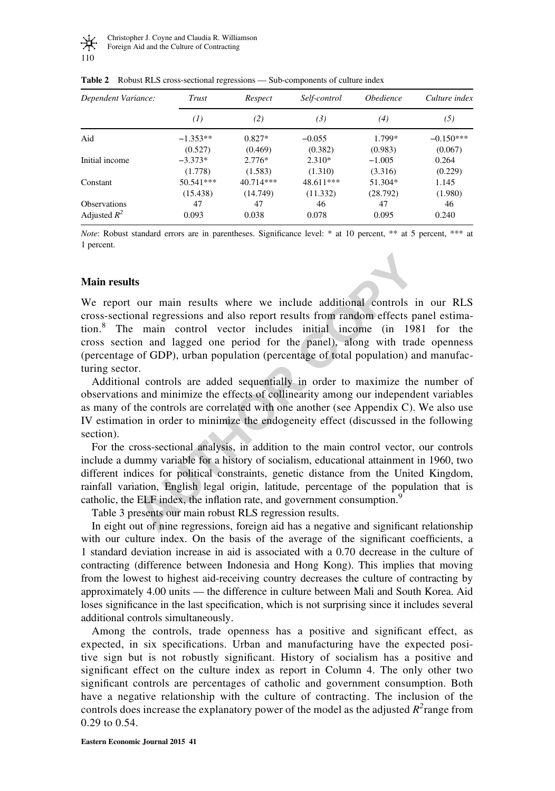<span id="page-8-0"></span>

| Dependent Variance: | Trust       | Respect     | Self-control | <i><b>Obedience</b></i> | Culture index |
|---------------------|-------------|-------------|--------------|-------------------------|---------------|
|                     | (1)         | (2)         | (3)          | (4)                     | (5)           |
| Aid                 | $-1.353**$  | $0.827*$    | $-0.055$     | 1.799*                  | $-0.150***$   |
|                     | (0.527)     | (0.469)     | (0.382)      | (0.983)                 | (0.067)       |
| Initial income      | $-3.373*$   | $2.776*$    | $2.310*$     | $-1.005$                | 0.264         |
|                     | (1.778)     | (1.583)     | (1.310)      | (3.316)                 | (0.229)       |
| Constant            | $50.541***$ | $40.714***$ | 48.611***    | 51.304*                 | 1.145         |
|                     | (15.438)    | (14.749)    | (11.332)     | (28.792)                | (1.980)       |
| <b>Observations</b> | 47          | 47          | 46           | 47                      | 46            |
| Adjusted $R^2$      | 0.093       | 0.038       | 0.078        | 0.095                   | 0.240         |

Table 2 Robust RLS cross-sectional regressions — Sub-components of culture index

Note: Robust standard errors are in parentheses. Significance level: \* at 10 percent, \*\* at 5 percent, \*\*\* at 1 percent.

### Main results

Is<br>
and regressions and also report results from random effects pan<br>
mail regressions and also report results from random effects pan<br>
main control vector includes initial income (in 1981<br>
on and lagged one period for the We report our main results where we include additional controls in our RLS cross-sectional regressions and also report results from random effects panel estimation.<sup>8</sup> The main control vector includes initial income (in 1981 for the cross section and lagged one period for the panel), along with trade openness (percentage of GDP), urban population (percentage of total population) and manufacturing sector.

Additional controls are added sequentially in order to maximize the number of observations and minimize the effects of collinearity among our independent variables as many of the controls are correlated with one another (see Appendix C). We also use IV estimation in order to minimize the endogeneity effect (discussed in the following section).

For the cross-sectional analysis, in addition to the main control vector, our controls include a dummy variable for a history of socialism, educational attainment in 1960, two different indices for political constraints, genetic distance from the United Kingdom, rainfall variation, English legal origin, latitude, percentage of the population that is catholic, the ELF index, the inflation rate, and government consumption.<sup>9</sup>

[Table 3](#page-9-0) presents our main robust RLS regression results.

In eight out of nine regressions, foreign aid has a negative and significant relationship with our culture index. On the basis of the average of the significant coefficients, a 1 standard deviation increase in aid is associated with a 0.70 decrease in the culture of contracting (difference between Indonesia and Hong Kong). This implies that moving from the lowest to highest aid-receiving country decreases the culture of contracting by approximately 4.00 units — the difference in culture between Mali and South Korea. Aid loses significance in the last specification, which is not surprising since it includes several additional controls simultaneously.

Among the controls, trade openness has a positive and significant effect, as expected, in six specifications. Urban and manufacturing have the expected positive sign but is not robustly significant. History of socialism has a positive and significant effect on the culture index as report in Column 4. The only other two significant controls are percentages of catholic and government consumption. Both have a negative relationship with the culture of contracting. The inclusion of the controls does increase the explanatory power of the model as the adjusted  $R^2$  range from 0.29 to 0.54.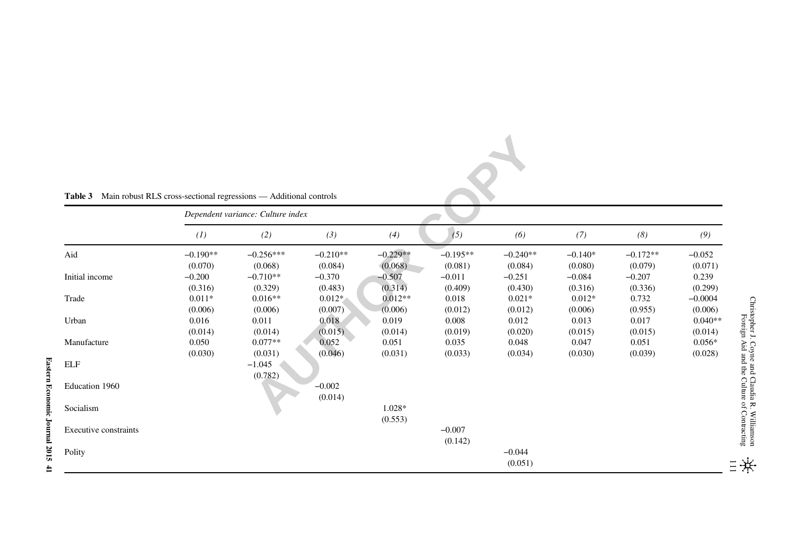<span id="page-9-0"></span>

| Table 3               | Main robust RLS cross-sectional regressions — Additional controls |                                   |                       |                       |                       |                       |                      |                       |                      |
|-----------------------|-------------------------------------------------------------------|-----------------------------------|-----------------------|-----------------------|-----------------------|-----------------------|----------------------|-----------------------|----------------------|
|                       |                                                                   | Dependent variance: Culture index |                       |                       |                       |                       |                      |                       |                      |
|                       | (1)                                                               | (2)                               | (3)                   | (4)                   | (5)                   | (6)                   | (7)                  | (8)                   | (9)                  |
| Aid                   | $-0.190**$<br>(0.070)                                             | $-0.256***$<br>(0.068)            | $-0.210**$<br>(0.084) | $-0.229**$<br>(0.068) | $-0.195**$<br>(0.081) | $-0.240**$<br>(0.084) | $-0.140*$<br>(0.080) | $-0.172**$<br>(0.079) | $-0.052$<br>(0.071)  |
| Initial income        | $-0.200$<br>(0.316)                                               | $-0.710**$<br>(0.329)             | $-0.370$<br>(0.483)   | $-0.507$<br>(0.314)   | $-0.011$<br>(0.409)   | $-0.251$<br>(0.430)   | $-0.084$<br>(0.316)  | $-0.207$<br>(0.336)   | 0.239<br>(0.299)     |
| Trade                 | $0.011*$<br>(0.006)                                               | $0.016**$<br>(0.006)              | $0.012*$<br>(0.007)   | $0.012**$<br>(0.006)  | 0.018<br>(0.012)      | $0.021*$<br>(0.012)   | $0.012*$<br>(0.006)  | 0.732<br>(0.955)      | $-0.0004$<br>(0.006) |
| Urban                 | 0.016<br>(0.014)                                                  | 0.011<br>(0.014)                  | 0.018<br>(0.015)      | 0.019<br>(0.014)      | 0.008<br>(0.019)      | 0.012<br>(0.020)      | 0.013<br>(0.015)     | 0.017<br>(0.015)      | $0.040**$<br>(0.014) |
| Manufacture           | 0.050<br>(0.030)                                                  | $0.077**$<br>(0.031)              | 0.052<br>(0.046)      | 0.051<br>(0.031)      | 0.035<br>(0.033)      | 0.048<br>(0.034)      | 0.047<br>(0.030)     | 0.051<br>(0.039)      | $0.056*$<br>(0.028)  |
| <b>ELF</b>            |                                                                   | $-1.045$<br>(0.782)               |                       |                       |                       |                       |                      |                       |                      |
| Education 1960        |                                                                   |                                   | $-0.002$<br>(0.014)   |                       |                       |                       |                      |                       |                      |
| Socialism             |                                                                   |                                   |                       | 1.028*<br>(0.553)     |                       |                       |                      |                       |                      |
| Executive constraints |                                                                   |                                   |                       |                       | $-0.007$<br>(0.142)   |                       |                      |                       |                      |
| Polity                |                                                                   |                                   |                       |                       |                       | $-0.044$<br>(0.051)   |                      |                       |                      |

Eastern Economic Journal 2015 41

Eastern Economic Journal 2015 41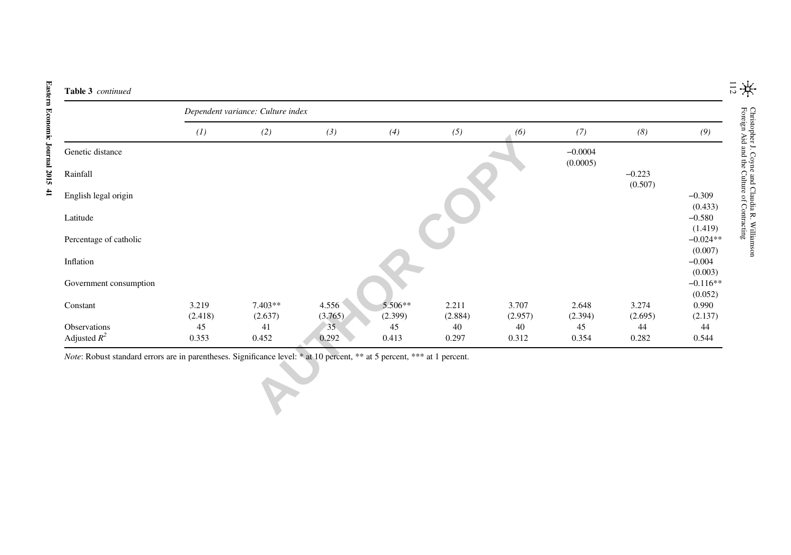|                        |                  | Dependent variance: Culture index |                  |                    |                  |                  |                  |                  |                       |
|------------------------|------------------|-----------------------------------|------------------|--------------------|------------------|------------------|------------------|------------------|-----------------------|
|                        | (1)              | (2)                               | (3)              | (4)                | (5)              | (6)              | (7)              | (8)              | (9)                   |
| Genetic distance       |                  |                                   |                  |                    |                  |                  | $-0.0004$        |                  |                       |
| Rainfall               |                  |                                   |                  |                    |                  |                  | (0.0005)         | $-0.223$         |                       |
| English legal origin   |                  |                                   |                  |                    |                  |                  |                  | (0.507)          | $-0.309$              |
| Latitude               |                  |                                   |                  |                    |                  |                  |                  |                  | (0.433)<br>$-0.580$   |
| Percentage of catholic |                  |                                   |                  |                    |                  |                  |                  |                  | (1.419)<br>$-0.024**$ |
| Inflation              |                  |                                   |                  |                    |                  |                  |                  |                  | (0.007)<br>$-0.004$   |
| Government consumption |                  |                                   |                  |                    |                  |                  |                  |                  | (0.003)<br>$-0.116**$ |
|                        |                  |                                   |                  |                    |                  |                  |                  |                  | (0.052)               |
| Constant               | 3.219<br>(2.418) | $7.403**$<br>(2.637)              | 4.556<br>(3.765) | 5.506**<br>(2.399) | 2.211<br>(2.884) | 3.707<br>(2.957) | 2.648<br>(2.394) | 3.274<br>(2.695) | 0.990<br>(2.137)      |
| Observations           | 45               | 41                                | 35               | 45                 | 40               | 40               | 45               | 44               | 44                    |
|                        | 0.353            | 0.452                             | 0.292            | 0.413              | 0.297            | 0.312            | 0.354            | 0.282            | 0.544                 |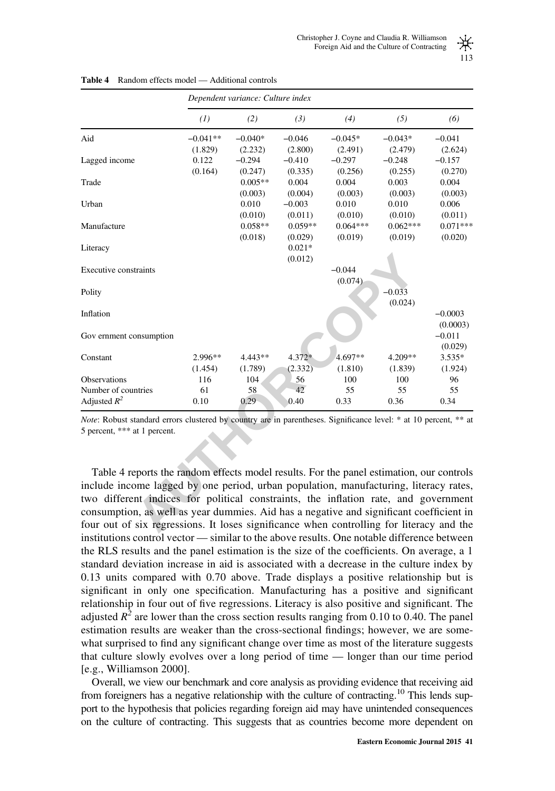|                                                                                                                                                  |            | Dependent variance: Culture index |           |            |            |            |
|--------------------------------------------------------------------------------------------------------------------------------------------------|------------|-----------------------------------|-----------|------------|------------|------------|
|                                                                                                                                                  | (1)        | (2)                               | (3)       | (4)        | (5)        | (6)        |
| Aid                                                                                                                                              | $-0.041**$ | $-0.040*$                         | $-0.046$  | $-0.045*$  | $-0.043*$  | $-0.041$   |
|                                                                                                                                                  | (1.829)    | (2.232)                           | (2.800)   | (2.491)    | (2.479)    | (2.624)    |
| Lagged income                                                                                                                                    | 0.122      | $-0.294$                          | $-0.410$  | $-0.297$   | $-0.248$   | $-0.157$   |
|                                                                                                                                                  | (0.164)    | (0.247)                           | (0.335)   | (0.256)    | (0.255)    | (0.270)    |
| Trade                                                                                                                                            |            | $0.005**$                         | 0.004     | 0.004      | 0.003      | 0.004      |
|                                                                                                                                                  |            | (0.003)                           | (0.004)   | (0.003)    | (0.003)    | (0.003)    |
| Urban                                                                                                                                            |            | 0.010                             | $-0.003$  | 0.010      | 0.010      | 0.006      |
|                                                                                                                                                  |            | (0.010)                           | (0.011)   | (0.010)    | (0.010)    | (0.011)    |
| Manufacture                                                                                                                                      |            | $0.058**$                         | $0.059**$ | $0.064***$ | $0.062***$ | $0.071***$ |
|                                                                                                                                                  |            | (0.018)                           | (0.029)   | (0.019)    | (0.019)    | (0.020)    |
| Literacy                                                                                                                                         |            |                                   | $0.021*$  |            |            |            |
|                                                                                                                                                  |            |                                   | (0.012)   |            |            |            |
| <b>Executive constraints</b>                                                                                                                     |            |                                   |           | $-0.044$   |            |            |
|                                                                                                                                                  |            |                                   |           | (0.074)    |            |            |
| Polity                                                                                                                                           |            |                                   |           |            | $-0.033$   |            |
|                                                                                                                                                  |            |                                   |           |            | (0.024)    |            |
| Inflation                                                                                                                                        |            |                                   |           |            |            | $-0.0003$  |
|                                                                                                                                                  |            |                                   |           |            |            | (0.0003)   |
| Gov ernment consumption                                                                                                                          |            |                                   |           |            |            | $-0.011$   |
|                                                                                                                                                  |            |                                   |           |            |            | (0.029)    |
| Constant                                                                                                                                         | 2.996**    | $4.443**$                         | $4.372*$  | 4.697**    | 4.209**    | $3.535*$   |
|                                                                                                                                                  | (1.454)    | (1.789)                           | (2.332)   | (1.810)    | (1.839)    | (1.924)    |
| <b>Observations</b>                                                                                                                              | 116        | 104                               | 56        | 100        | 100        | 96         |
| Number of countries                                                                                                                              | 61         | 58                                | 42        | 55         | 55         | 55         |
| Adjusted $R^2$                                                                                                                                   | 0.10       | 0.29                              | 0.40      | 0.33       | 0.36       | 0.34       |
| Note: Robust standard errors clustered by country are in parentheses. Significance level: * at 10 percent, ** at<br>5 percent, *** at 1 percent. |            |                                   |           |            |            |            |
|                                                                                                                                                  |            |                                   |           |            |            |            |
| Table 4 reports the random effects model results. For the panel estimation, our controls                                                         |            |                                   |           |            |            |            |
| include income lagged by one period, urban population, manufacturing, literacy rates,                                                            |            |                                   |           |            |            |            |
|                                                                                                                                                  |            |                                   |           |            |            |            |
| two different indices for political constraints, the inflation rate, and government                                                              |            |                                   |           |            |            |            |
| consumption, as well as year dummies. Aid has a negative and significant coefficient in                                                          |            |                                   |           |            |            |            |
| four out of six regressions. It loses significance when controlling for literacy and the                                                         |            |                                   |           |            |            |            |
|                                                                                                                                                  |            |                                   |           |            |            |            |

Table 4 Random effects model — Additional controls

Table 4 reports the random effects model results. For the panel estimation, our controls include income lagged by one period, urban population, manufacturing, literacy rates, two different indices for political constraints, the inflation rate, and government consumption, as well as year dummies. Aid has a negative and significant coefficient in four out of six regressions. It loses significance when controlling for literacy and the institutions control vector — similar to the above results. One notable difference between the RLS results and the panel estimation is the size of the coefficients. On average, a 1 standard deviation increase in aid is associated with a decrease in the culture index by 0.13 units compared with 0.70 above. Trade displays a positive relationship but is significant in only one specification. Manufacturing has a positive and significant relationship in four out of five regressions. Literacy is also positive and significant. The adjusted  $R^2$  are lower than the cross section results ranging from 0.10 to 0.40. The panel estimation results are weaker than the cross-sectional findings; however, we are somewhat surprised to find any significant change over time as most of the literature suggests that culture slowly evolves over a long period of time — longer than our time period [e.g., [Williamson 2000\]](#page-19-0).

Overall, we view our benchmark and core analysis as providing evidence that receiving aid from foreigners has a negative relationship with the culture of contracting.<sup>10</sup> This lends support to the hypothesis that policies regarding foreign aid may have unintended consequences on the culture of contracting. This suggests that as countries become more dependent on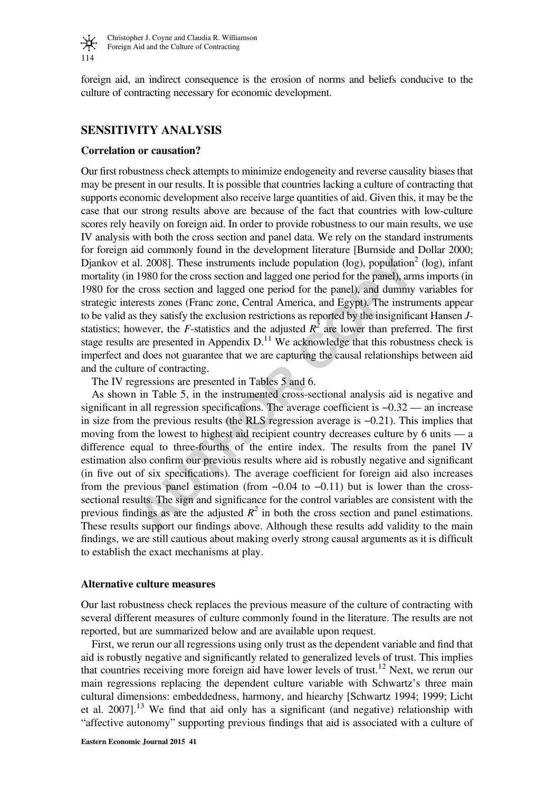

foreign aid, an indirect consequence is the erosion of norms and beliefs conducive to the culture of contracting necessary for economic development.

### SENSITIVITY ANALYSIS

### Correlation or causation?

Our first robustness check attempts to minimize endogeneity and reverse causality biases that may be present in our results. It is possible that countries lacking a culture of contracting that supports economic development also receive large quantities of aid. Given this, it may be the case that our strong results above are because of the fact that countries with low-culture scores rely heavily on foreign aid. In order to provide robustness to our main results, we use IV analysis with both the cross section and panel data. We rely on the standard instruments for foreign aid commonly found in the development literature [[Burnside and Dollar 2000;](#page-17-0) [Djankov et al. 2008](#page-17-0)]. These instruments include population (log), population<sup>2</sup> (log), infant mortality (in 1980 for the cross section and lagged one period for the panel), arms imports (in 1980 for the cross section and lagged one period for the panel), and dummy variables for strategic interests zones (Franc zone, Central America, and Egypt). The instruments appear to be valid as they satisfy the exclusion restrictions as reported by the insignificant Hansen Jstatistics; however, the F-statistics and the adjusted  $R^2$  are lower than preferred. The first stage results are presented in Appendix  $D<sup>11</sup>$  We acknowledge that this robustness check is imperfect and does not guarantee that we are capturing the causal relationships between aid and the culture of contracting.

The IV regressions are presented in Tables 5 and 6.

and commonly found in the co-teophona in the co-teophona in the core of the panel), and L2008]. These instruments include population (log), population<sup>2</sup> (1980 for the cross section and lagged one period for the panel), a As shown in Table 5, in the instrumented cross-sectional analysis aid is negative and significant in all regression specifications. The average coefficient is −0.32 — an increase in size from the previous results (the RLS regression average is −0.21). This implies that moving from the lowest to highest aid recipient country decreases culture by 6 units — a difference equal to three-fourths of the entire index. The results from the panel IV estimation also confirm our previous results where aid is robustly negative and significant (in five out of six specifications). The average coefficient for foreign aid also increases from the previous panel estimation (from  $-0.04$  to  $-0.11$ ) but is lower than the crosssectional results. The sign and significance for the control variables are consistent with the previous findings as are the adjusted  $R^2$  in both the cross section and panel estimations. These results support our findings above. Although these results add validity to the main findings, we are still cautious about making overly strong causal arguments as it is difficult to establish the exact mechanisms at play.

### Alternative culture measures

Our last robustness check replaces the previous measure of the culture of contracting with several different measures of culture commonly found in the literature. The results are not reported, but are summarized below and are available upon request.

First, we rerun our all regressions using only trust as the dependent variable and find that aid is robustly negative and significantly related to generalized levels of trust. This implies that countries receiving more foreign aid have lower levels of trust.<sup>12</sup> Next, we rerun our main regressions replacing the dependent culture variable with Schwartz's three main cultural dimensions: embeddedness, harmony, and hiearchy [[Schwartz 1994; 1999; Licht](#page-18-0) et al.  $2007$ ].<sup>13</sup> We find that aid only has a significant (and negative) relationship with "affective autonomy" supporting previous findings that aid is associated with a culture of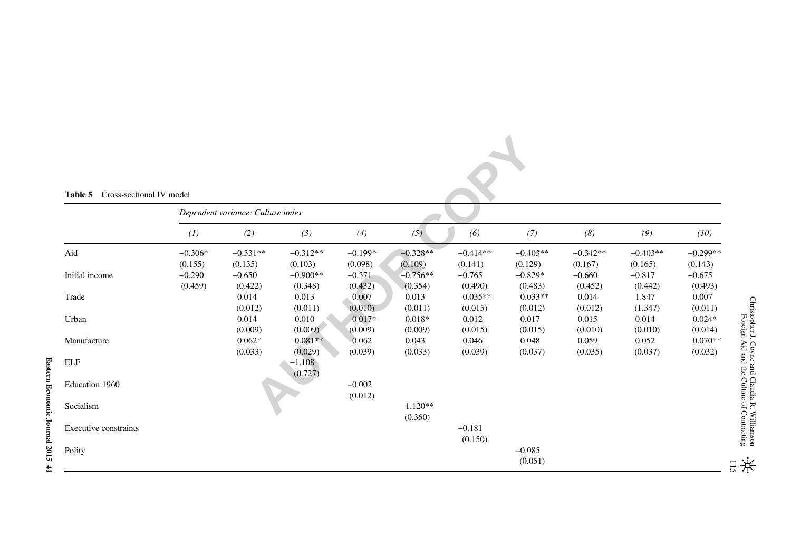<span id="page-13-0"></span>

| Cross-sectional IV model<br><b>Table 5</b> |                      | Dependent variance: Culture index |                       |                      |                       |                       |                       |                       |                       |                       |
|--------------------------------------------|----------------------|-----------------------------------|-----------------------|----------------------|-----------------------|-----------------------|-----------------------|-----------------------|-----------------------|-----------------------|
|                                            | (1)                  | (2)                               | (3)                   | (4)                  | (5)                   | (6)                   | (7)                   | (8)                   | (9)                   | (10)                  |
| Aid                                        | $-0.306*$<br>(0.155) | $-0.331**$<br>(0.135)             | $-0.312**$<br>(0.103) | $-0.199*$<br>(0.098) | $-0.328**$<br>(0.109) | $-0.414**$<br>(0.141) | $-0.403**$<br>(0.129) | $-0.342**$<br>(0.167) | $-0.403**$<br>(0.165) | $-0.299**$<br>(0.143) |
| Initial income                             | $-0.290$<br>(0.459)  | $-0.650$<br>(0.422)               | $-0.900**$<br>(0.348) | $-0.371$<br>(0.432)  | $-0.756**$<br>(0.354) | $-0.765$<br>(0.490)   | $-0.829*$<br>(0.483)  | $-0.660$<br>(0.452)   | $-0.817$<br>(0.442)   | $-0.675$<br>(0.493)   |
| Trade                                      |                      | 0.014<br>(0.012)                  | 0.013<br>(0.011)      | 0.007<br>(0.010)     | 0.013<br>(0.011)      | $0.035**$<br>(0.015)  | $0.033**$<br>(0.012)  | 0.014<br>(0.012)      | 1.847<br>(1.347)      | 0.007<br>(0.011)      |
| Urban                                      |                      | 0.014<br>(0.009)                  | 0.010<br>(0.009)      | $0.017*$<br>(0.009)  | $0.018*$<br>(0.009)   | 0.012<br>(0.015)      | 0.017<br>(0.015)      | 0.015<br>(0.010)      | 0.014<br>(0.010)      | $0.024*$<br>(0.014)   |
| Manufacture                                |                      | $0.062*$<br>(0.033)               | $0.081**$<br>(0.029)  | 0.062<br>(0.039)     | 0.043<br>(0.033)      | 0.046<br>(0.039)      | 0.048<br>(0.037)      | 0.059<br>(0.035)      | 0.052<br>(0.037)      | $0.070**$<br>(0.032)  |
| <b>ELF</b>                                 |                      |                                   | $-1.108$<br>(0.727)   |                      |                       |                       |                       |                       |                       |                       |
| Education 1960                             |                      |                                   |                       | $-0.002$<br>(0.012)  |                       |                       |                       |                       |                       |                       |
| Socialism                                  |                      |                                   |                       |                      | $1.120**$<br>(0.360)  |                       |                       |                       |                       |                       |
| Executive constraints                      |                      |                                   |                       |                      |                       | $-0.181$<br>(0.150)   |                       |                       |                       |                       |
| Polity                                     |                      |                                   |                       |                      |                       |                       | $-0.085$<br>(0.051)   |                       |                       |                       |

 $\ddot{=}$   $\ddot{=}$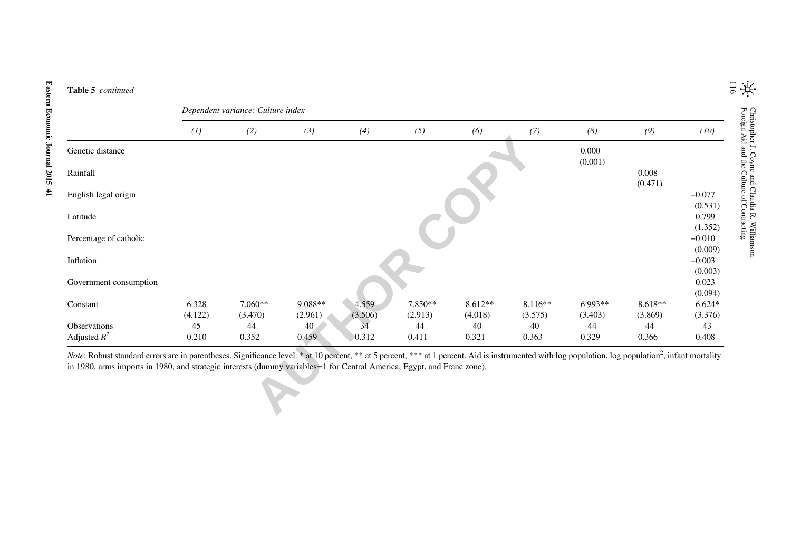|                        |                  | Dependent variance: Culture index |                    |                  |                    |                      |                      |                      |                      |                                |
|------------------------|------------------|-----------------------------------|--------------------|------------------|--------------------|----------------------|----------------------|----------------------|----------------------|--------------------------------|
|                        | (1)              | (2)                               | (3)                | (4)              | (5)                | (6)                  | (7)                  | (8)                  | (9)                  | (10)                           |
| Genetic distance       |                  |                                   |                    |                  |                    |                      |                      | 0.000                |                      |                                |
| Rainfall               |                  |                                   |                    |                  |                    |                      |                      | (0.001)              | 0.008<br>(0.471)     |                                |
| English legal origin   |                  |                                   |                    |                  |                    |                      |                      |                      |                      | $-0.077$                       |
| Latitude               |                  |                                   |                    |                  |                    |                      |                      |                      |                      | (0.531)<br>0.799               |
| Percentage of catholic |                  |                                   |                    |                  |                    |                      |                      |                      |                      | (1.352)<br>$-0.010$            |
| Inflation              |                  |                                   |                    |                  |                    |                      |                      |                      |                      | (0.009)<br>$-0.003$<br>(0.003) |
| Government consumption |                  |                                   |                    |                  |                    |                      |                      |                      |                      | 0.023<br>(0.094)               |
| Constant               | 6.328<br>(4.122) | 7.060**<br>(3.470)                | 9.088**<br>(2.961) | 4.559<br>(3.506) | 7.850**<br>(2.913) | $8.612**$<br>(4.018) | $8.116**$<br>(3.575) | $6.993**$<br>(3.403) | $8.618**$<br>(3.869) | $6.624*$<br>(3.376)            |
| Observations           | 45               | 44                                | 40                 | 34               | 44                 | 40                   | 40                   | 44                   | 44                   | 43                             |
| Adjusted $R^2$         | 0.210            | 0.352                             | 0.459              | 0.312            | 0.411              | 0.321                | 0.363                | 0.329                | 0.366                | 0.408                          |

# $\pm\frac{\pi}{2}$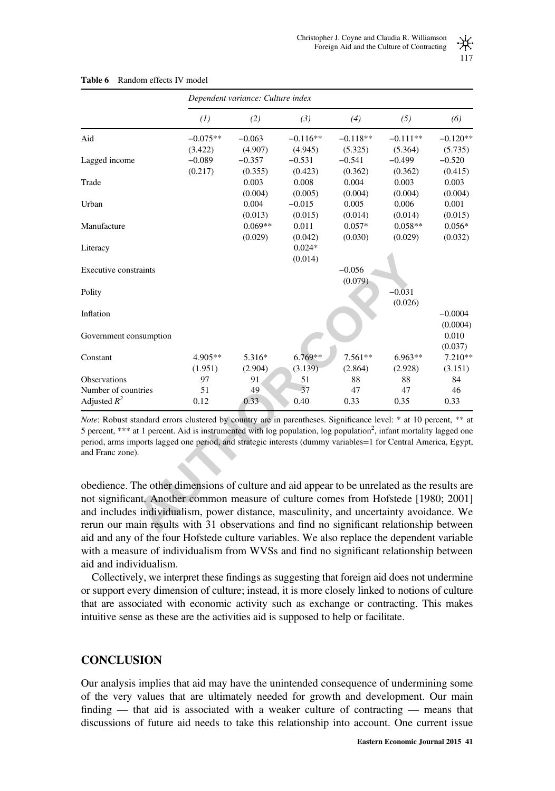|                                                                                                                                                                                                                                                                                                                                                                                                  |            | Dependent variance: Culture index |            |            |            |            |
|--------------------------------------------------------------------------------------------------------------------------------------------------------------------------------------------------------------------------------------------------------------------------------------------------------------------------------------------------------------------------------------------------|------------|-----------------------------------|------------|------------|------------|------------|
|                                                                                                                                                                                                                                                                                                                                                                                                  | (1)        | (2)                               | (3)        | (4)        | (5)        | (6)        |
| Aid                                                                                                                                                                                                                                                                                                                                                                                              | $-0.075**$ | $-0.063$                          | $-0.116**$ | $-0.118**$ | $-0.111**$ | $-0.120**$ |
|                                                                                                                                                                                                                                                                                                                                                                                                  | (3.422)    | (4.907)                           | (4.945)    | (5.325)    | (5.364)    | (5.735)    |
| Lagged income                                                                                                                                                                                                                                                                                                                                                                                    | $-0.089$   | $-0.357$                          | $-0.531$   | $-0.541$   | $-0.499$   | $-0.520$   |
|                                                                                                                                                                                                                                                                                                                                                                                                  | (0.217)    | (0.355)                           | (0.423)    | (0.362)    | (0.362)    | (0.415)    |
| Trade                                                                                                                                                                                                                                                                                                                                                                                            |            | 0.003                             | 0.008      | 0.004      | 0.003      | 0.003      |
|                                                                                                                                                                                                                                                                                                                                                                                                  |            | (0.004)                           | (0.005)    | (0.004)    | (0.004)    | (0.004)    |
| Urban                                                                                                                                                                                                                                                                                                                                                                                            |            | 0.004                             | $-0.015$   | 0.005      | 0.006      | 0.001      |
|                                                                                                                                                                                                                                                                                                                                                                                                  |            | (0.013)                           | (0.015)    | (0.014)    | (0.014)    | (0.015)    |
| Manufacture                                                                                                                                                                                                                                                                                                                                                                                      |            | $0.069**$                         | 0.011      | $0.057*$   | $0.058**$  | $0.056*$   |
|                                                                                                                                                                                                                                                                                                                                                                                                  |            | (0.029)                           | (0.042)    | (0.030)    | (0.029)    | (0.032)    |
| Literacy                                                                                                                                                                                                                                                                                                                                                                                         |            |                                   | $0.024*$   |            |            |            |
|                                                                                                                                                                                                                                                                                                                                                                                                  |            |                                   | (0.014)    |            |            |            |
| <b>Executive constraints</b>                                                                                                                                                                                                                                                                                                                                                                     |            |                                   |            | $-0.056$   |            |            |
|                                                                                                                                                                                                                                                                                                                                                                                                  |            |                                   |            | (0.079)    |            |            |
| Polity                                                                                                                                                                                                                                                                                                                                                                                           |            |                                   |            |            | $-0.031$   |            |
|                                                                                                                                                                                                                                                                                                                                                                                                  |            |                                   |            |            | (0.026)    |            |
| Inflation                                                                                                                                                                                                                                                                                                                                                                                        |            |                                   |            |            |            | $-0.0004$  |
|                                                                                                                                                                                                                                                                                                                                                                                                  |            |                                   |            |            |            | (0.0004)   |
| Government consumption                                                                                                                                                                                                                                                                                                                                                                           |            |                                   |            |            |            | 0.010      |
|                                                                                                                                                                                                                                                                                                                                                                                                  |            |                                   |            |            |            | (0.037)    |
| Constant                                                                                                                                                                                                                                                                                                                                                                                         | $4.905**$  | 5.316*                            | $6.769**$  | $7.561**$  | $6.963**$  | $7.210**$  |
|                                                                                                                                                                                                                                                                                                                                                                                                  | (1.951)    | (2.904)                           | (3.139)    | (2.864)    | (2.928)    | (3.151)    |
| Observations                                                                                                                                                                                                                                                                                                                                                                                     | 97         | 91                                | 51         | 88         | 88         | 84         |
| Number of countries                                                                                                                                                                                                                                                                                                                                                                              | 51         | 49                                | 37         | 47         | 47         | 46         |
| Adjusted $R^2$                                                                                                                                                                                                                                                                                                                                                                                   | 0.12       | 0.33                              | 0.40       | 0.33       | 0.35       | 0.33       |
| <i>Note:</i> Robust standard errors clustered by country are in parentheses. Significance level: * at 10 percent, ** at<br>5 percent, *** at 1 percent. Aid is instrumented with log population, log population <sup>2</sup> , infant mortality lagged one<br>period, arms imports lagged one period, and strategic interests (dummy variables=1 for Central America, Egypt,<br>and Franc zone). |            |                                   |            |            |            |            |
| obedience. The other dimensions of culture and aid appear to be unrelated as the results are<br>not significant. Another common measure of culture comes from Hofstede [1980; 2001]<br>and includes individualism, power distance, masculinity, and uncertainty avoidance. We<br>rerun our main results with 31 observations and find no significant relationship between                        |            |                                   |            |            |            |            |

### Table 6 Random effects IV model

obedience. The other dimensions of culture and aid appear to be unrelated as the results are not significant. Another common measure of culture comes from [Hofstede \[1980; 2001\]](#page-17-0) and includes individualism, power distance, masculinity, and uncertainty avoidance. We rerun our main results with 31 observations and find no significant relationship between aid and any of the four Hofstede culture variables. We also replace the dependent variable with a measure of individualism from WVSs and find no significant relationship between aid and individualism.

Collectively, we interpret these findings as suggesting that foreign aid does not undermine or support every dimension of culture; instead, it is more closely linked to notions of culture that are associated with economic activity such as exchange or contracting. This makes intuitive sense as these are the activities aid is supposed to help or facilitate.

### **CONCLUSION**

Our analysis implies that aid may have the unintended consequence of undermining some of the very values that are ultimately needed for growth and development. Our main finding — that aid is associated with a weaker culture of contracting — means that discussions of future aid needs to take this relationship into account. One current issue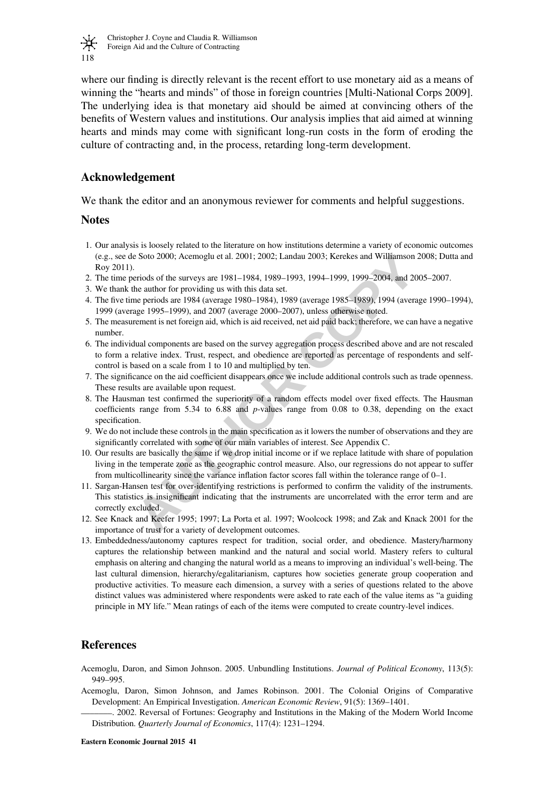<span id="page-16-0"></span>

where our finding is directly relevant is the recent effort to use monetary aid as a means of winning the "hearts and minds" of those in foreign countries [\[Multi-National Corps 2009\]](#page-18-0). The underlying idea is that monetary aid should be aimed at convincing others of the benefits of Western values and institutions. Our analysis implies that aid aimed at winning hearts and minds may come with significant long-run costs in the form of eroding the culture of contracting and, in the process, retarding long-term development.

### Acknowledgement

We thank the editor and an anonymous reviewer for comments and helpful suggestions.

### **Notes**

- 1. Our analysis is loosely related to the literature on how institutions determine a variety of economic outcomes (e.g., see [de Soto 2000](#page-17-0); Acemoglu et al. 2001; 2002; Landau 2003; [Kerekes and Williamson 2008](#page-18-0); [Dutta and](#page-17-0) [Roy 2011\)](#page-17-0).
- 2. The time periods of the surveys are 1981–1984, 1989–1993, 1994–1999, 1999–2004, and 2005–2007.
- 3. We thank the author for providing us with this data set.
- 4. The five time periods are 1984 (average 1980–1984), 1989 (average 1985–1989), 1994 (average 1990–1994), 1999 (average 1995–1999), and 2007 (average 2000–2007), unless otherwise noted.
- 5. The measurement is net foreign aid, which is aid received, net aid paid back; therefore, we can have a negative number.
- 6. The individual components are based on the survey aggregation process described above and are not rescaled to form a relative index. Trust, respect, and obedience are reported as percentage of respondents and selfcontrol is based on a scale from 1 to 10 and multiplied by ten.
- 7. The significance on the aid coefficient disappears once we include additional controls such as trade openness. These results are available upon request.
- E Soto 2000; Acemoglu et al. 2001; 2002; Landau 2003; Kerekes and Williamson 200<br>
Frieds of the surveys are 1981–1984, 1989–1993, 1994–1999, 1999–2004, and 2005<br>
he author for providing us with this data set.<br> **AUTE COPY T** 8. The Hausman test confirmed the superiority of a random effects model over fixed effects. The Hausman coefficients range from 5.34 to 6.88 and p-values range from 0.08 to 0.38, depending on the exact specification.
- 9. We do not include these controls in the main specification as it lowers the number of observations and they are significantly correlated with some of our main variables of interest. See Appendix C.
- 10. Our results are basically the same if we drop initial income or if we replace latitude with share of population living in the temperate zone as the geographic control measure. Also, our regressions do not appear to suffer from multicollinearity since the variance inflation factor scores fall within the tolerance range of 0–1.
- 11. Sargan-Hansen test for over-identifying restrictions is performed to confirm the validity of the instruments. This statistics is insignificant indicating that the instruments are uncorrelated with the error term and are correctly excluded.
- 12. See [Knack and Keefer 1995; 1997](#page-18-0); La Porta et al. 1997; Woolcock 1998; and [Zak and Knack 2001](#page-19-0) for the importance of trust for a variety of development outcomes.
- 13. Embeddedness/autonomy captures respect for tradition, social order, and obedience. Mastery/harmony captures the relationship between mankind and the natural and social world. Mastery refers to cultural emphasis on altering and changing the natural world as a means to improving an individual's well-being. The last cultural dimension, hierarchy/egalitarianism, captures how societies generate group cooperation and productive activities. To measure each dimension, a survey with a series of questions related to the above distinct values was administered where respondents were asked to rate each of the value items as "a guiding principle in MY life." Mean ratings of each of the items were computed to create country-level indices.

### References

- Acemoglu, Daron, and Simon Johnson. 2005. Unbundling Institutions. Journal of Political Economy, 113(5): 949–995.
- Acemoglu, Daron, Simon Johnson, and James Robinson. 2001. The Colonial Origins of Comparative Development: An Empirical Investigation. American Economic Review, 91(5): 1369–1401.
- \_\_\_\_\_\_\_. 2002. Reversal of Fortunes: Geography and Institutions in the Making of the Modern World Income Distribution. Quarterly Journal of Economics, 117(4): 1231–1294.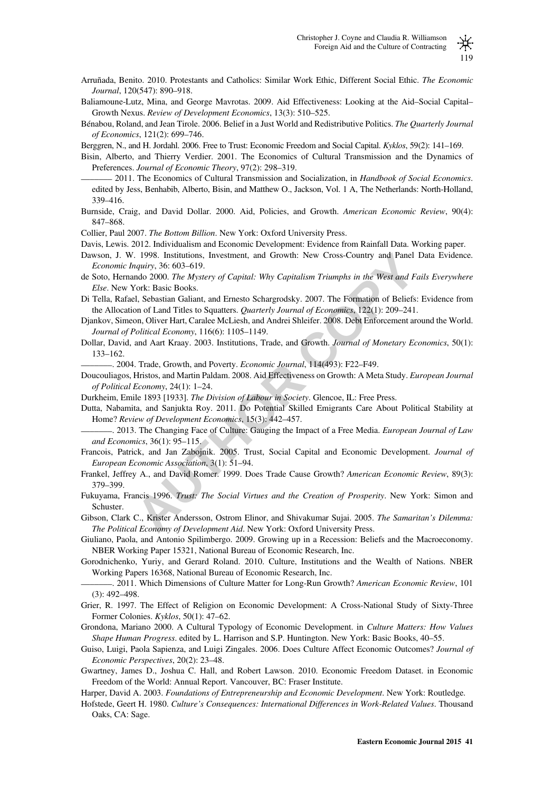<span id="page-17-0"></span>

- Baliamoune-Lutz, Mina, and George Mavrotas. 2009. Aid Effectiveness: Looking at the Aid–Social Capital– Growth Nexus. Review of Development Economics, 13(3): 510–525.
- Bénabou, Roland, and Jean Tirole. 2006. Belief in a Just World and Redistributive Politics. The Quarterly Journal of Economics, 121(2): 699–746.

Berggren, N., and H. Jordahl. 2006. Free to Trust: Economic Freedom and Social Capital. Kyklos, 59(2): 141–169.

Bisin, Alberto, and Thierry Verdier. 2001. The Economics of Cultural Transmission and the Dynamics of Preferences. Journal of Economic Theory, 97(2): 298–319. \_\_\_\_\_\_\_ 2011. The Economics of Cultural Transmission and Socialization, in Handbook of Social Economics.

edited by Jess, Benhabib, Alberto, Bisin, and Matthew O., Jackson, Vol. 1 A, The Netherlands: North-Holland, 339–416.

Burnside, Craig, and David Dollar. 2000. Aid, Policies, and Growth. American Economic Review, 90(4): 847–868.

Collier, Paul 2007. The Bottom Billion. New York: Oxford University Press.

Davis, Lewis. 2012. Individualism and Economic Development: Evidence from Rainfall Data. Working paper.

Dawson, J. W. 1998. Institutions, Investment, and Growth: New Cross-Country and Panel Data Evidence. Economic Inquiry, 36: 603–619.

de Soto, Hernando 2000. The Mystery of Capital: Why Capitalism Triumphs in the West and Fails Everywhere Else. New York: Basic Books.

1998. Institutions, Investment, and Growth: New Cross-Country and Panel Da<br> *Audo* 2000. *The Mystery of Capital: Why Capitalism Triumphs in the West and Fails*<br>
(ork: Basic Books.<br>
Ando 2000. *The Mystery of Capital: Why* Di Tella, Rafael, Sebastian Galiant, and Ernesto Schargrodsky. 2007. The Formation of Beliefs: Evidence from the Allocation of Land Titles to Squatters. *Quarterly Journal of Economics*, 122(1): 209–241.

Djankov, Simeon, Oliver Hart, Caralee McLiesh, and Andrei Shleifer. 2008. Debt Enforcement around the World. Journal of Political Economy, 116(6): 1105–1149.

Dollar, David, and Aart Kraay. 2003. Institutions, Trade, and Growth. Journal of Monetary Economics, 50(1): 133–162.

. 2004. Trade, Growth, and Poverty. Economic Journal, 114(493): F22–F49.

Doucouliagos, Hristos, and Martin Paldam. 2008. Aid Effectiveness on Growth: A Meta Study. European Journal of Political Economy, 24(1): 1–24.

Durkheim, Emile 1893 [1933]. The Division of Labour in Society. Glencoe, IL: Free Press.

Dutta, Nabamita, and Sanjukta Roy. 2011. Do Potential Skilled Emigrants Care About Political Stability at Home? Review of Development Economics, 15(3): 442–457.

- . 2013. The Changing Face of Culture: Gauging the Impact of a Free Media. *European Journal of Law* and Economics, 36(1): 95–115.
- Francois, Patrick, and Jan Zabojnik. 2005. Trust, Social Capital and Economic Development. Journal of European Economic Association, 3(1): 51–94.
- Frankel, Jeffrey A., and David Romer. 1999. Does Trade Cause Growth? American Economic Review, 89(3): 379–399.

Fukuyama, Francis 1996. Trust: The Social Virtues and the Creation of Prosperity. New York: Simon and Schuster.

Gibson, Clark C., Krister Andersson, Ostrom Elinor, and Shivakumar Sujai. 2005. The Samaritan's Dilemma: The Political Economy of Development Aid. New York: Oxford University Press.

Giuliano, Paola, and Antonio Spilimbergo. 2009. Growing up in a Recession: Beliefs and the Macroeconomy. NBER Working Paper 15321, National Bureau of Economic Research, Inc.

Gorodnichenko, Yuriy, and Gerard Roland. 2010. Culture, Institutions and the Wealth of Nations. NBER Working Papers 16368, National Bureau of Economic Research, Inc.<br>
\_\_\_\_\_\_\_\_. 2011. Which Dimensions of Culture Matter for Long-Run Growth? American Economic Review, 101

(3): 492–498.

Grier, R. 1997. The Effect of Religion on Economic Development: A Cross-National Study of Sixty-Three Former Colonies. Kyklos, 50(1): 47–62.

Grondona, Mariano 2000. A Cultural Typology of Economic Development. in Culture Matters: How Values Shape Human Progress. edited by L. Harrison and S.P. Huntington. New York: Basic Books, 40–55.

- Guiso, Luigi, Paola Sapienza, and Luigi Zingales. 2006. Does Culture Affect Economic Outcomes? Journal of Economic Perspectives, 20(2): 23–48.
- Gwartney, James D., Joshua C. Hall, and Robert Lawson. 2010. Economic Freedom Dataset. in Economic Freedom of the World: Annual Report. Vancouver, BC: Fraser Institute.

Harper, David A. 2003. Foundations of Entrepreneurship and Economic Development. New York: Routledge.

Hofstede, Geert H. 1980. Culture's Consequences: International Differences in Work-Related Values. Thousand Oaks, CA: Sage.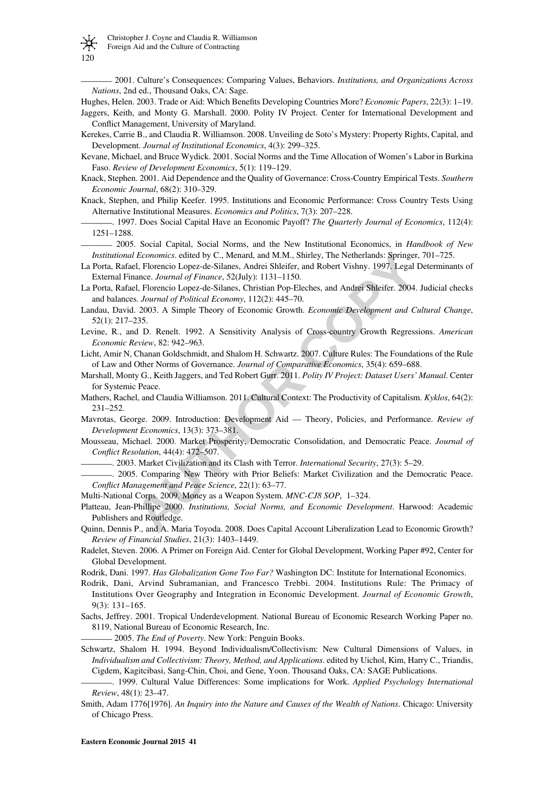<span id="page-18-0"></span>

- 2001. Culture's Consequences: Comparing Values, Behaviors. Institutions, and Organizations Across Nations, 2nd ed., Thousand Oaks, CA: Sage.

Hughes, Helen. 2003. Trade or Aid: Which Benefits Developing Countries More? Economic Papers, 22(3): 1–19.

Jaggers, Keith, and Monty G. Marshall. 2000. Polity IV Project. Center for International Development and Conflict Management, University of Maryland.

Kerekes, Carrie B., and Claudia R. Williamson. 2008. Unveiling de Soto's Mystery: Property Rights, Capital, and Development. Journal of Institutional Economics, 4(3): 299–325.

Kevane, Michael, and Bruce Wydick. 2001. Social Norms and the Time Allocation of Women's Labor in Burkina Faso. Review of Development Economics, 5(1): 119–129.

Knack, Stephen. 2001. Aid Dependence and the Quality of Governance: Cross-Country Empirical Tests. Southern Economic Journal, 68(2): 310–329.

Knack, Stephen, and Philip Keefer. 1995. Institutions and Economic Performance: Cross Country Tests Using Alternative Institutional Measures. *Economics and Politics*, 7(3): 207–228.<br> **\_\_\_\_\_\_**. 1997. Does Social Capital Have an Economic Payoff? *The Quarterly Journal of Economics*, 112(4):

1251–1288.

- 2005. Social Capital, Social Norms, and the New Institutional Economics, in Handbook of New Institutional Economics. edited by C., Menard, and M.M., Shirley, The Netherlands: Springer, 701–725.

- *Economics*. edited by C., Menard, and M.M., Shirley, The Netherlands: Springer, 70<br>
Al, Florenci Lopez-de-Silanes, Andrei Shiefer, and Robert Vishny, 1997. Legal Det<br>
Al, Florenci Lopez-de-Silanes, Christian Pop-Eleches, La Porta, Rafael, Florencio Lopez-de-Silanes, Andrei Shleifer, and Robert Vishny. 1997. Legal Determinants of External Finance. Journal of Finance, 52(July): 1131–1150.
- La Porta, Rafael, Florencio Lopez-de-Silanes, Christian Pop-Eleches, and Andrei Shleifer. 2004. Judicial checks and balances. Journal of Political Economy, 112(2): 445–70.
- Landau, David. 2003. A Simple Theory of Economic Growth. Economic Development and Cultural Change, 52(1): 217–235.
- Levine, R., and D. Renelt. 1992. A Sensitivity Analysis of Cross-country Growth Regressions. American Economic Review, 82: 942–963.

Licht, Amir N, Chanan Goldschmidt, and Shalom H. Schwartz. 2007. Culture Rules: The Foundations of the Rule of Law and Other Norms of Governance. Journal of Comparative Economics, 35(4): 659-688.

- Marshall, Monty G., Keith Jaggers, and Ted Robert Gurr. 2011. Polity IV Project: Dataset Users' Manual. Center for Systemic Peace.
- Mathers, Rachel, and Claudia Williamson. 2011. Cultural Context: The Productivity of Capitalism. Kyklos, 64(2): 231–252.
- Mavrotas, George. 2009. Introduction: Development Aid Theory, Policies, and Performance. Review of Development Economics, 13(3): 373–381.

Mousseau, Michael. 2000. Market Prosperity, Democratic Consolidation, and Democratic Peace. Journal of Conflict Resolution, 44(4): 472–507.<br>- 2003. Market Civilization and its Clash with Terror. International Security, 27(3): 5–29.

\_\_\_\_\_\_\_. 2005. Comparing New Theory with Prior Beliefs: Market Civilization and the Democratic Peace. Conflict Management and Peace Science, 22(1): 63–77.

Multi-National Corps. 2009. Money as a Weapon System. MNC-CJ8 SOP, 1–324.

- Platteau, Jean-Phillipe 2000. Institutions, Social Norms, and Economic Development. Harwood: Academic Publishers and Routledge.
- Quinn, Dennis P., and A. Maria Toyoda. 2008. Does Capital Account Liberalization Lead to Economic Growth? Review of Financial Studies, 21(3): 1403–1449.
- Radelet, Steven. 2006. A Primer on Foreign Aid. Center for Global Development, Working Paper #92, Center for Global Development.

Rodrik, Dani. 1997. Has Globalization Gone Too Far? Washington DC: Institute for International Economics.

Rodrik, Dani, Arvind Subramanian, and Francesco Trebbi. 2004. Institutions Rule: The Primacy of Institutions Over Geography and Integration in Economic Development. Journal of Economic Growth, 9(3): 131–165.

Sachs, Jeffrey. 2001. Tropical Underdevelopment. National Bureau of Economic Research Working Paper no. 8119, National Bureau of Economic Research, Inc.

2005. The End of Poverty. New York: Penguin Books.

- Schwartz, Shalom H. 1994. Beyond Individualism/Collectivism: New Cultural Dimensions of Values, in Individualism and Collectivism: Theory, Method, and Applications. edited by Uichol, Kim, Harry C., Triandis, Cigdem, Kagitcibasi, Sang-Chin, Choi, and Gene, Yoon. Thousand Oaks, CA: SAGE Publications.
- . 1999. Cultural Value Differences: Some implications for Work. Applied Psychology International Review, 48(1): 23–47.
- Smith, Adam 1776[1976]. An Inquiry into the Nature and Causes of the Wealth of Nations. Chicago: University of Chicago Press.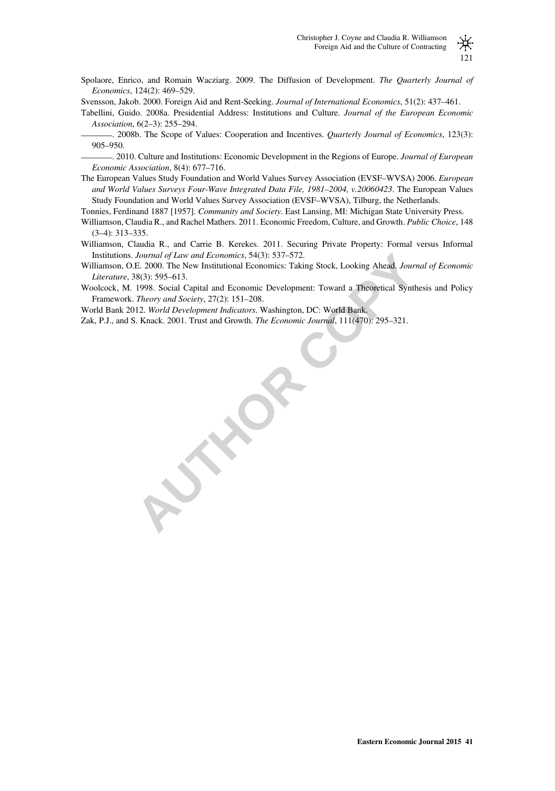<span id="page-19-0"></span>

Svensson, Jakob. 2000. Foreign Aid and Rent-Seeking. Journal of International Economics, 51(2): 437–461.

Tabellini, Guido. 2008a. Presidential Address: Institutions and Culture. Journal of the European Economic

Association, 6(2–3): 255–294.<br>
————. 2008b. The Scope of Values: Cooperation and Incentives. *Quarterly Journal of Economics*, 123(3): 905–950.

. 2010. Culture and Institutions: Economic Development in the Regions of Europe. Journal of European Economic Association, 8(4): 677–716.

The European Values Study Foundation and World Values Survey Association (EVSF–WVSA) 2006. European and World Values Surveys Four-Wave Integrated Data File, 1981–2004, v.20060423. The European Values Study Foundation and World Values Survey Association (EVSF–WVSA), Tilburg, the Netherlands.

Tonnies, Ferdinand 1887 [1957]. Community and Society. East Lansing, MI: Michigan State University Press.

- Williamson, Claudia R., and Rachel Mathers. 2011. Economic Freedom, Culture, and Growth. Public Choice, 148 (3–4): 313–335.
- Williamson, Claudia R., and Carrie B. Kerekes. 2011. Securing Private Property: Formal versus Informal Institutions. Journal of Law and Economics, 54(3): 537–572.
- *Journal of Law and Economics, 54(3): 537–572.*<br>
E. 2000. The New Institutional Economics: Taking Stock, Looking Ahead. *Journal* 188(3): 595–613.<br>
1998. Social Capital and Economic Development: Toward a Theoretical Synthe Williamson, O.E. 2000. The New Institutional Economics: Taking Stock, Looking Ahead. Journal of Economic Literature, 38(3): 595–613.

Woolcock, M. 1998. Social Capital and Economic Development: Toward a Theoretical Synthesis and Policy Framework. Theory and Society, 27(2): 151–208.

World Bank 2012. World Development Indicators. Washington, DC: World Bank.

Zak, P.J., and S. Knack. 2001. Trust and Growth. The Economic Journal, 111(470): 295–321.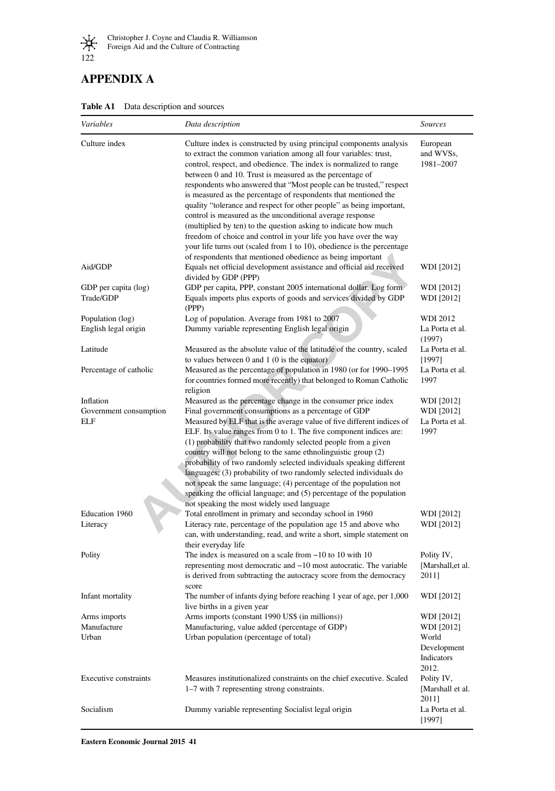

## APPENDIX A

| Variables                                  | Data description                                                                                                                                                                                                                                                                                                                                                                                                                                                                                                                                                                                                                                                                                                                                                                                                                       | <b>Sources</b>                                                          |
|--------------------------------------------|----------------------------------------------------------------------------------------------------------------------------------------------------------------------------------------------------------------------------------------------------------------------------------------------------------------------------------------------------------------------------------------------------------------------------------------------------------------------------------------------------------------------------------------------------------------------------------------------------------------------------------------------------------------------------------------------------------------------------------------------------------------------------------------------------------------------------------------|-------------------------------------------------------------------------|
| Culture index                              | Culture index is constructed by using principal components analysis<br>to extract the common variation among all four variables: trust,<br>control, respect, and obedience. The index is normalized to range<br>between 0 and 10. Trust is measured as the percentage of<br>respondents who answered that "Most people can be trusted," respect<br>is measured as the percentage of respondents that mentioned the<br>quality "tolerance and respect for other people" as being important,<br>control is measured as the unconditional average response<br>(multiplied by ten) to the question asking to indicate how much<br>freedom of choice and control in your life you have over the way<br>your life turns out (scaled from 1 to 10), obedience is the percentage<br>of respondents that mentioned obedience as being important | European<br>and WVSs,<br>1981-2007                                      |
| Aid/GDP                                    | Equals net official development assistance and official aid received<br>divided by GDP (PPP)                                                                                                                                                                                                                                                                                                                                                                                                                                                                                                                                                                                                                                                                                                                                           | WDI [2012]                                                              |
| GDP per capita (log)<br>Trade/GDP          | GDP per capita, PPP, constant 2005 international dollar. Log form<br>Equals imports plus exports of goods and services divided by GDP<br>(PPP)                                                                                                                                                                                                                                                                                                                                                                                                                                                                                                                                                                                                                                                                                         | WDI [2012]<br>WDI [2012]                                                |
| Population (log)<br>English legal origin   | Log of population. Average from 1981 to 2007<br>Dummy variable representing English legal origin                                                                                                                                                                                                                                                                                                                                                                                                                                                                                                                                                                                                                                                                                                                                       | <b>WDI 2012</b><br>La Porta et al.<br>(1997)                            |
| Latitude<br>Percentage of catholic         | Measured as the absolute value of the latitude of the country, scaled<br>to values between $0$ and $1(0)$ is the equator)<br>Measured as the percentage of population in 1980 (or for 1990–1995<br>for countries formed more recently) that belonged to Roman Catholic<br>religion                                                                                                                                                                                                                                                                                                                                                                                                                                                                                                                                                     | La Porta et al.<br>[1997]<br>La Porta et al.<br>1997                    |
| Inflation<br>Government consumption<br>ELF | Measured as the percentage change in the consumer price index<br>Final government consumptions as a percentage of GDP<br>Measured by ELF that is the average value of five different indices of<br>ELF. Its value ranges from 0 to 1. The five component indices are:<br>(1) probability that two randomly selected people from a given<br>country will not belong to the same ethnolinguistic group (2)<br>probability of two randomly selected individuals speaking different<br>languages; (3) probability of two randomly selected individuals do<br>not speak the same language; (4) percentage of the population not<br>speaking the official language; and (5) percentage of the population<br>not speaking the most widely used language                                                                                       | WDI [2012]<br>WDI [2012]<br>La Porta et al.<br>1997                     |
| Education 1960<br>Literacy                 | Total enrollment in primary and seconday school in 1960<br>Literacy rate, percentage of the population age 15 and above who<br>can, with understanding, read, and write a short, simple statement on<br>their everyday life                                                                                                                                                                                                                                                                                                                                                                                                                                                                                                                                                                                                            | WDI [2012]<br>WDI [2012]                                                |
| Polity                                     | The index is measured on a scale from $-10$ to 10 with 10<br>representing most democratic and $-10$ most autocratic. The variable<br>is derived from subtracting the autocracy score from the democracy<br>score                                                                                                                                                                                                                                                                                                                                                                                                                                                                                                                                                                                                                       | Polity IV,<br>[Marshall, et al.<br>2011]                                |
| Infant mortality                           | The number of infants dying before reaching 1 year of age, per 1,000<br>live births in a given year                                                                                                                                                                                                                                                                                                                                                                                                                                                                                                                                                                                                                                                                                                                                    | WDI [2012]                                                              |
| Arms imports<br>Manufacture<br>Urban       | Arms imports (constant 1990 US\$ (in millions))<br>Manufacturing, value added (percentage of GDP)<br>Urban population (percentage of total)                                                                                                                                                                                                                                                                                                                                                                                                                                                                                                                                                                                                                                                                                            | WDI [2012]<br>WDI [2012]<br>World<br>Development<br>Indicators<br>2012. |
| <b>Executive constraints</b>               | Measures institutionalized constraints on the chief executive. Scaled<br>1–7 with 7 representing strong constraints.                                                                                                                                                                                                                                                                                                                                                                                                                                                                                                                                                                                                                                                                                                                   | Polity IV,<br>[Marshall et al.<br>2011]                                 |
| Socialism                                  | Dummy variable representing Socialist legal origin                                                                                                                                                                                                                                                                                                                                                                                                                                                                                                                                                                                                                                                                                                                                                                                     | La Porta et al.<br>[1997]                                               |

Table A1 Data description and sources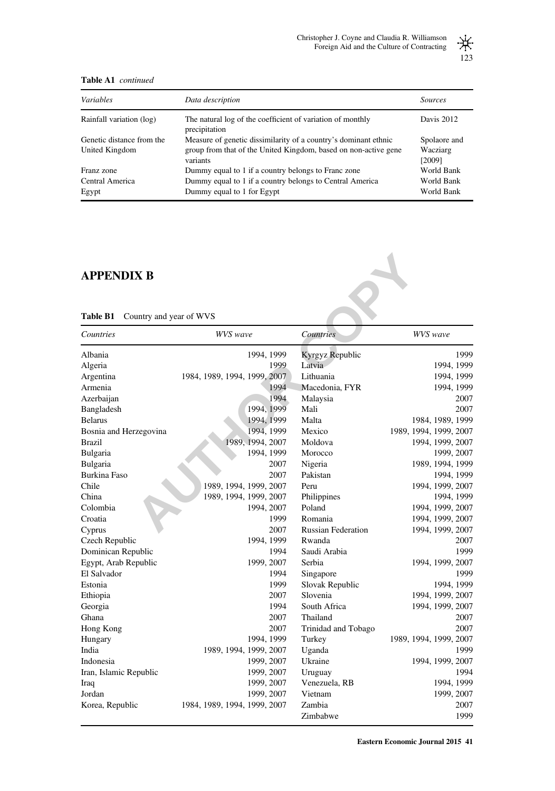Table A1 continued

| <b>Variables</b>          | Data description                                                                       | <i>Sources</i>           |
|---------------------------|----------------------------------------------------------------------------------------|--------------------------|
| Rainfall variation (log)  | The natural log of the coefficient of variation of monthly<br>precipitation            | Davis 2012               |
| Genetic distance from the | Measure of genetic dissimilarity of a country's dominant ethnic                        | Spolaore and             |
| United Kingdom            | group from that of the United Kingdom, based on non-active gene<br>variants            | Wacziarg<br>[2009]       |
| Franz zone                | Dummy equal to 1 if a country belongs to Franc zone                                    | World Bank               |
| Central America<br>Egypt  | Dummy equal to 1 if a country belongs to Central America<br>Dummy equal to 1 for Egypt | World Bank<br>World Bank |
|                           |                                                                                        |                          |

### APPENDIX B

| <b>APPENDIX B</b>                          |                              |                           |                        |
|--------------------------------------------|------------------------------|---------------------------|------------------------|
| <b>Table B1</b><br>Country and year of WVS |                              |                           |                        |
| Countries                                  | WVS wave                     | Countries                 | WVS wave               |
| Albania                                    | 1994, 1999                   | Kyrgyz Republic           | 1999                   |
| Algeria                                    | 1999                         | Latvia                    | 1994, 1999             |
| Argentina                                  | 1984, 1989, 1994, 1999, 2007 | Lithuania                 | 1994, 1999             |
| Armenia                                    | 1994                         | Macedonia, FYR            | 1994, 1999             |
| Azerbaijan                                 | 1994                         | Malaysia                  | 2007                   |
| Bangladesh                                 | 1994, 1999                   | Mali                      | 2007                   |
| <b>Belarus</b>                             | 1994, 1999                   | Malta                     | 1984, 1989, 1999       |
| Bosnia and Herzegovina                     | 1994, 1999                   | Mexico                    | 1989, 1994, 1999, 2007 |
| <b>Brazil</b>                              | 1989, 1994, 2007             | Moldova                   | 1994, 1999, 2007       |
| Bulgaria                                   | 1994, 1999                   | Morocco                   | 1999, 2007             |
| Bulgaria                                   | 2007                         | Nigeria                   | 1989, 1994, 1999       |
| <b>Burkina Faso</b>                        | 2007                         | Pakistan                  | 1994, 1999             |
| Chile                                      | 1989, 1994, 1999, 2007       | Peru                      | 1994, 1999, 2007       |
| China                                      | 1989, 1994, 1999, 2007       | Philippines               | 1994, 1999             |
| Colombia                                   | 1994, 2007                   | Poland                    | 1994, 1999, 2007       |
| Croatia                                    | 1999                         | Romania                   | 1994, 1999, 2007       |
| Cyprus                                     | 2007                         | <b>Russian Federation</b> | 1994, 1999, 2007       |
| Czech Republic                             | 1994, 1999                   | Rwanda                    | 2007                   |
| Dominican Republic                         | 1994                         | Saudi Arabia              | 1999                   |
| Egypt, Arab Republic                       | 1999, 2007                   | Serbia                    | 1994, 1999, 2007       |
| El Salvador                                | 1994                         | Singapore                 | 1999                   |
| Estonia                                    | 1999                         | Slovak Republic           | 1994, 1999             |
| Ethiopia                                   | 2007                         | Slovenia                  | 1994, 1999, 2007       |
| Georgia                                    | 1994                         | South Africa              | 1994, 1999, 2007       |
| Ghana                                      | 2007                         | Thailand                  | 2007                   |
| Hong Kong                                  | 2007                         | Trinidad and Tobago       | 2007                   |
| Hungary                                    | 1994, 1999                   | Turkey                    | 1989, 1994, 1999, 2007 |
| India                                      | 1989, 1994, 1999, 2007       | Uganda                    | 1999                   |
| Indonesia                                  | 1999, 2007                   | Ukraine                   | 1994, 1999, 2007       |
| Iran, Islamic Republic                     | 1999, 2007                   | Uruguay                   | 1994                   |
| Iraq                                       | 1999, 2007                   | Venezuela, RB             | 1994, 1999             |
| Jordan                                     | 1999, 2007                   | Vietnam                   | 1999, 2007             |
| Korea, Republic                            | 1984, 1989, 1994, 1999, 2007 | Zambia                    | 2007                   |
|                                            |                              | Zimbabwe                  | 1999                   |

# Table B1 Country and year of WVS

Eastern Economic Journal 2015 41

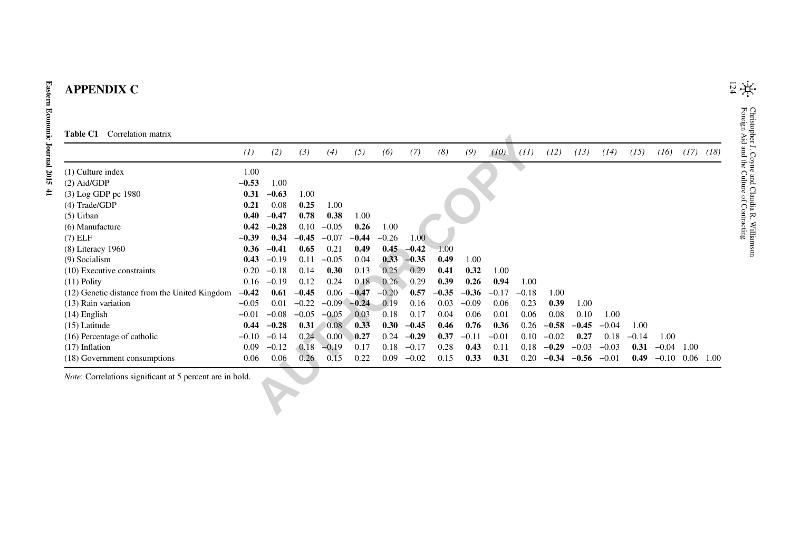| j<br>٢<br>Ì  |
|--------------|
| J.<br>Ì<br>Ξ |
| ገበባ          |
|              |

| <b>Table C1</b><br>Correlation matrix         |         |         |         |         |         |         |         |         |         |         |         |         |         |         |         |              |      |      |
|-----------------------------------------------|---------|---------|---------|---------|---------|---------|---------|---------|---------|---------|---------|---------|---------|---------|---------|--------------|------|------|
|                                               | (I)     | (2)     | (3)     | (4)     | (5)     | (6)     | (7)     | (8)     | (9)     | (10)    | (11)    | (12)    | (13)    | (14)    | (15)    | (16)         | (17) | (18) |
| $(1)$ Culture index                           | 1.00    |         |         |         |         |         |         |         |         |         |         |         |         |         |         |              |      |      |
| $(2)$ Aid/GDP                                 | $-0.53$ | 1.00    |         |         |         |         |         |         |         |         |         |         |         |         |         |              |      |      |
| (3) Log GDP pc 1980                           | 0.31    | $-0.63$ | 1.00    |         |         |         |         |         |         |         |         |         |         |         |         |              |      |      |
| (4) Trade/GDP                                 | 0.21    | 0.08    | 0.25    | 1.00    |         |         |         |         |         |         |         |         |         |         |         |              |      |      |
| $(5)$ Urban                                   | 0.40    | $-0.47$ | 0.78    | 0.38    | 1.00    |         |         |         |         |         |         |         |         |         |         |              |      |      |
| (6) Manufacture                               | 0.42    | $-0.28$ | 0.10    | $-0.05$ | 0.26    | 1.00    |         |         |         |         |         |         |         |         |         |              |      |      |
| $(7)$ ELF                                     | $-0.39$ | 0.34    | $-0.45$ | $-0.07$ | $-0.44$ | $-0.26$ | 1.00    |         |         |         |         |         |         |         |         |              |      |      |
| (8) Literacy 1960                             | 0.36    | $-0.41$ | 0.65    | 0.21    | 0.49    | 0.45    | $-0.42$ | 1.00    |         |         |         |         |         |         |         |              |      |      |
| (9) Socialism                                 | 0.43    | $-0.19$ | 0.11    | $-0.05$ | 0.04    | 0.33    | $-0.35$ | 0.49    | 1.00    |         |         |         |         |         |         |              |      |      |
| (10) Executive constraints                    | 0.20    | $-0.18$ | 0.14    | 0.30    | 0.13    | 0.25    | 0.29    | 0.41    | 0.32    | 1.00    |         |         |         |         |         |              |      |      |
| $(11)$ Polity                                 | 0.16    | $-0.19$ | 0.12    | 0.24    | 0.18    | 0.26    | 0.29    | 0.39    | 0.26    | 0.94    | 1.00    |         |         |         |         |              |      |      |
| (12) Genetic distance from the United Kingdom | $-0.42$ | 0.61    | $-0.45$ | 0.06    | $-0.47$ | $-0.20$ | 0.57    | $-0.35$ | $-0.36$ | $-0.17$ | $-0.18$ | 1.00    |         |         |         |              |      |      |
| (13) Rain variation                           | $-0.05$ | 0.01    | $-0.22$ | $-0.09$ | $-0.24$ | 0.19    | 0.16    | 0.03    | $-0.09$ | 0.06    | 0.23    | 0.39    | 1.00    |         |         |              |      |      |
| $(14)$ English                                | $-0.01$ | $-0.08$ | $-0.05$ | $-0.05$ | 0.03    | 0.18    | 0.17    | 0.04    | 0.06    | 0.01    | 0.06    | 0.08    | 0.10    | 1.00    |         |              |      |      |
| $(15)$ Latitude                               | 0.44    | $-0.28$ | 0.31    | 0.08    | 0.33    | 0.30    | $-0.45$ | 0.46    | 0.76    | 0.36    | 0.26    | $-0.58$ | $-0.45$ | $-0.04$ | 1.00    |              |      |      |
| (16) Percentage of catholic                   | $-0.10$ | $-0.14$ | 0.24    | 0.00    | 0.27    | 0.24    | $-0.29$ | 0.37    | $-0.11$ | $-0.01$ | 0.10    | $-0.02$ | 0.27    | 0.18    | $-0.14$ | 1.00         |      |      |
| $(17)$ Inflation                              | 0.09    | $-0.12$ | 0.18    | $-0.19$ | 0.17    | 0.18    | $-0.17$ | 0.28    | 0.43    | 0.11    | 0.18    | $-0.29$ | $-0.03$ | $-0.03$ | 0.31    | $-0.04$ 1.00 |      |      |
| (18) Government consumptions                  | 0.06    | 0.06    | 0.26    | 0.15    | 0.22    | 0.09    | $-0.02$ | 0.15    | 0.33    | 0.31    | 0.20    | $-0.34$ | $-0.56$ | $-0.01$ | 0.49    | $-0.10$      | 0.06 | 1.00 |